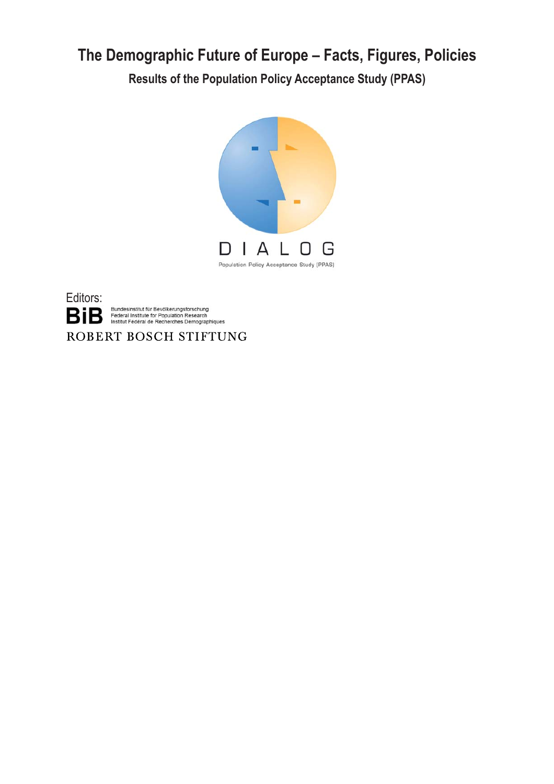# **The Demographic Future of Europe – Facts, Figures, Policies**

**Results of the Population Policy Acceptance Study (PPAS)**





Bundesinstitut für Bevölkerungsforschung<br>Federal Institute for Population Research<br>Institut Fédéral de Recherches Démographiques

ROBERT BOSCH STIFTUNG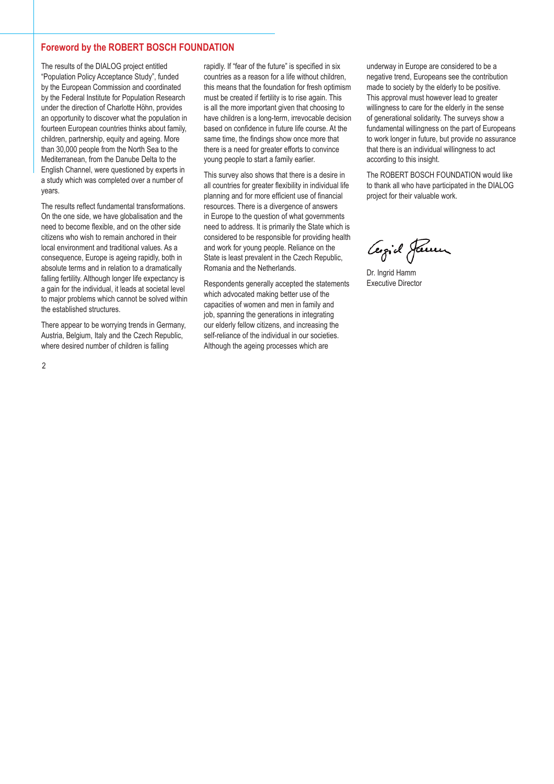# **Foreword by the ROBERT BOSCH FOUNDATION**

The results of the DIALOG project entitled "Population Policy Acceptance Study", funded by the European Commission and coordinated by the Federal Institute for Population Research under the direction of Charlotte Höhn, provides an opportunity to discover what the population in fourteen European countries thinks about family, children, partnership, equity and ageing. More than 30,000 people from the North Sea to the Mediterranean, from the Danube Delta to the English Channel, were questioned by experts in a study which was completed over a number of years.

The results reflect fundamental transformations. On the one side, we have globalisation and the need to become flexible, and on the other side citizens who wish to remain anchored in their local environment and traditional values. As a consequence, Europe is ageing rapidly, both in absolute terms and in relation to a dramatically falling fertility. Although longer life expectancy is a gain for the individual, it leads at societal level to major problems which cannot be solved within the established structures.

There appear to be worrying trends in Germany, Austria, Belgium, Italy and the Czech Republic, where desired number of children is falling

rapidly. If "fear of the future" is specified in six countries as a reason for a life without children, this means that the foundation for fresh optimism must be created if fertility is to rise again. This is all the more important given that choosing to have children is a long-term, irrevocable decision based on confidence in future life course. At the same time, the findings show once more that there is a need for greater efforts to convince young people to start a family earlier.

This survey also shows that there is a desire in all countries for greater flexibility in individual life planning and for more efficient use of financial resources. There is a divergence of answers in Europe to the question of what governments need to address. It is primarily the State which is considered to be responsible for providing health and work for young people. Reliance on the State is least prevalent in the Czech Republic, Romania and the Netherlands.

Respondents generally accepted the statements which advocated making better use of the capacities of women and men in family and job, spanning the generations in integrating our elderly fellow citizens, and increasing the self-reliance of the individual in our societies. Although the ageing processes which are

underway in Europe are considered to be a negative trend, Europeans see the contribution made to society by the elderly to be positive. This approval must however lead to greater willingness to care for the elderly in the sense of generational solidarity. The surveys show a fundamental willingness on the part of Europeans to work longer in future, but provide no assurance that there is an individual willingness to act according to this insight.

The ROBERT BOSCH FOUNDATION would like to thank all who have participated in the DIALOG project for their valuable work.

Cergid Januar

Dr. Ingrid Hamm Executive Director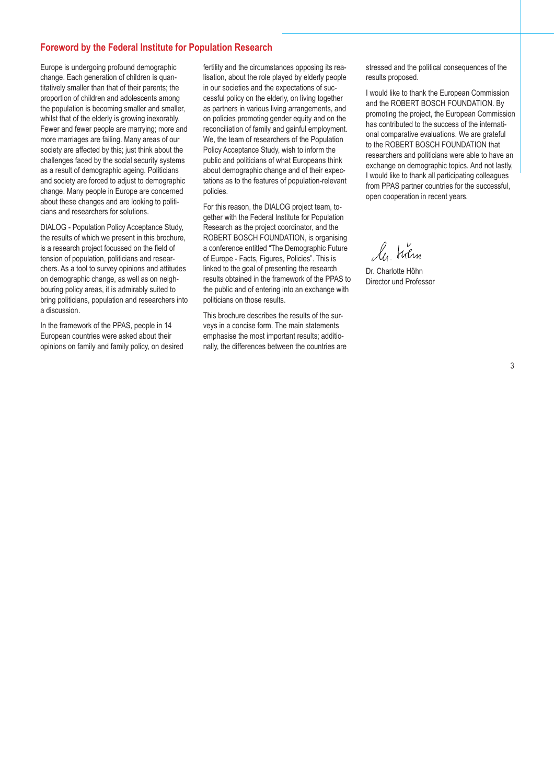# **Foreword by the Federal Institute for Population Research**

Europe is undergoing profound demographic change. Each generation of children is quantitatively smaller than that of their parents; the proportion of children and adolescents among the population is becoming smaller and smaller, whilst that of the elderly is growing inexorably. Fewer and fewer people are marrying; more and more marriages are failing. Many areas of our society are affected by this; just think about the challenges faced by the social security systems as a result of demographic ageing. Politicians and society are forced to adjust to demographic change. Many people in Europe are concerned about these changes and are looking to politicians and researchers for solutions.

DIALOG - Population Policy Acceptance Study, the results of which we present in this brochure, is a research project focussed on the field of tension of population, politicians and researchers. As a tool to survey opinions and attitudes on demographic change, as well as on neighbouring policy areas, it is admirably suited to bring politicians, population and researchers into a discussion.

In the framework of the PPAS, people in 14 European countries were asked about their opinions on family and family policy, on desired

fertility and the circumstances opposing its realisation, about the role played by elderly people in our societies and the expectations of successful policy on the elderly, on living together as partners in various living arrangements, and on policies promoting gender equity and on the reconciliation of family and gainful employment. We, the team of researchers of the Population Policy Acceptance Study, wish to inform the public and politicians of what Europeans think about demographic change and of their expectations as to the features of population-relevant policies.

For this reason, the DIALOG project team, together with the Federal Institute for Population Research as the project coordinator, and the ROBERT BOSCH FOUNDATION, is organising a conference entitled "The Demographic Future of Europe - Facts, Figures, Policies". This is linked to the goal of presenting the research results obtained in the framework of the PPAS to the public and of entering into an exchange with politicians on those results.

This brochure describes the results of the surveys in a concise form. The main statements emphasise the most important results; additionally, the differences between the countries are stressed and the political consequences of the results proposed.

I would like to thank the European Commission and the ROBERT BOSCH FOUNDATION. By promoting the project, the European Commission has contributed to the success of the international comparative evaluations. We are grateful to the ROBERT BOSCH FOUNDATION that researchers and politicians were able to have an exchange on demographic topics. And not lastly, I would like to thank all participating colleagues from PPAS partner countries for the successful, open cooperation in recent years.

le holm

Dr. Charlotte Höhn Director und Professor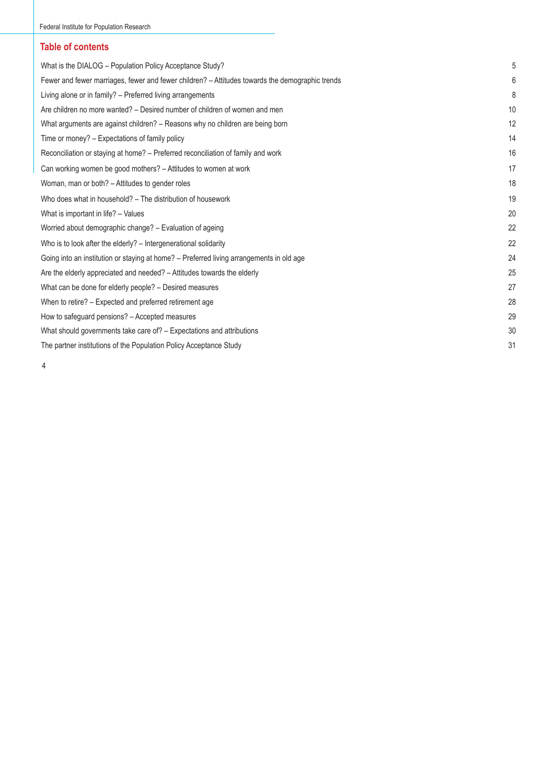# **Table of contents**

| What is the DIALOG - Population Policy Acceptance Study?                                        | 5  |
|-------------------------------------------------------------------------------------------------|----|
| Fewer and fewer marriages, fewer and fewer children? – Attitudes towards the demographic trends | 6  |
| Living alone or in family? - Preferred living arrangements                                      | 8  |
| Are children no more wanted? – Desired number of children of women and men                      | 10 |
| What arguments are against children? – Reasons why no children are being born                   | 12 |
| Time or money? - Expectations of family policy                                                  | 14 |
| Reconciliation or staying at home? - Preferred reconciliation of family and work                | 16 |
| Can working women be good mothers? - Attitudes to women at work                                 | 17 |
| Woman, man or both? – Attitudes to gender roles                                                 | 18 |
| Who does what in household? – The distribution of housework                                     | 19 |
| What is important in life? - Values                                                             | 20 |
| Worried about demographic change? - Evaluation of ageing                                        | 22 |
| Who is to look after the elderly? – Intergenerational solidarity                                | 22 |
| Going into an institution or staying at home? – Preferred living arrangements in old age        | 24 |
| Are the elderly appreciated and needed? - Attitudes towards the elderly                         | 25 |
| What can be done for elderly people? - Desired measures                                         | 27 |
| When to retire? – Expected and preferred retirement age                                         | 28 |
| How to safeguard pensions? - Accepted measures                                                  | 29 |
| What should governments take care of? – Expectations and attributions                           | 30 |
| The partner institutions of the Population Policy Acceptance Study                              | 31 |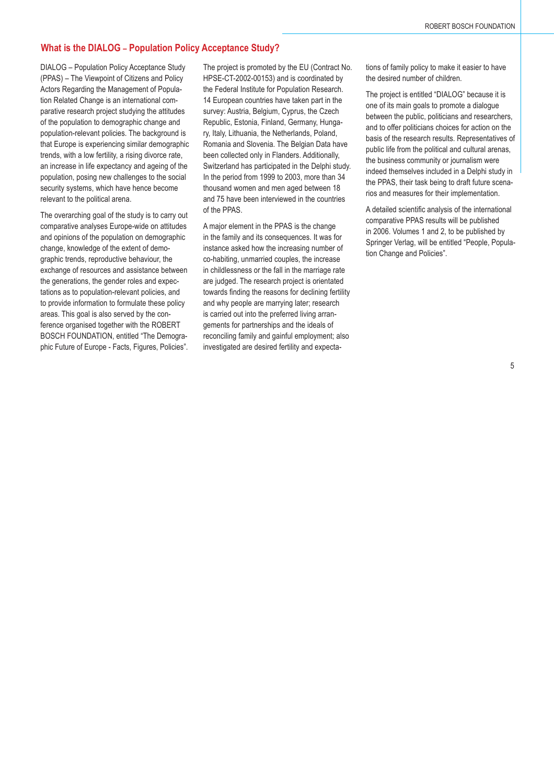# **What is the DIALOG – Population Policy Acceptance Study?**

DIALOG – Population Policy Acceptance Study (PPAS) – The Viewpoint of Citizens and Policy Actors Regarding the Management of Population Related Change is an international comparative research project studying the attitudes of the population to demographic change and population-relevant policies. The background is that Europe is experiencing similar demographic trends, with a low fertility, a rising divorce rate, an increase in life expectancy and ageing of the population, posing new challenges to the social security systems, which have hence become relevant to the political arena.

The overarching goal of the study is to carry out comparative analyses Europe-wide on attitudes and opinions of the population on demographic change, knowledge of the extent of demographic trends, reproductive behaviour, the exchange of resources and assistance between the generations, the gender roles and expectations as to population-relevant policies, and to provide information to formulate these policy areas. This goal is also served by the conference organised together with the ROBERT BOSCH FOUNDATION, entitled "The Demographic Future of Europe - Facts, Figures, Policies".

The project is promoted by the EU (Contract No. HPSE-CT-2002-00153) and is coordinated by the Federal Institute for Population Research. 14 European countries have taken part in the survey: Austria, Belgium, Cyprus, the Czech Republic, Estonia, Finland, Germany, Hungary, Italy, Lithuania, the Netherlands, Poland, Romania and Slovenia. The Belgian Data have been collected only in Flanders. Additionally, Switzerland has participated in the Delphi study. In the period from 1999 to 2003, more than 34 thousand women and men aged between 18 and 75 have been interviewed in the countries of the PPAS.

A major element in the PPAS is the change in the family and its consequences. It was for instance asked how the increasing number of co-habiting, unmarried couples, the increase in childlessness or the fall in the marriage rate are judged. The research project is orientated towards finding the reasons for declining fertility and why people are marrying later; research is carried out into the preferred living arrangements for partnerships and the ideals of reconciling family and gainful employment; also investigated are desired fertility and expectations of family policy to make it easier to have the desired number of children.

The project is entitled "DIALOG" because it is one of its main goals to promote a dialogue between the public, politicians and researchers, and to offer politicians choices for action on the basis of the research results. Representatives of public life from the political and cultural arenas, the business community or journalism were indeed themselves included in a Delphi study in the PPAS, their task being to draft future scenarios and measures for their implementation.

A detailed scientific analysis of the international comparative PPAS results will be published in 2006. Volumes 1 and 2, to be published by Springer Verlag, will be entitled "People, Population Change and Policies".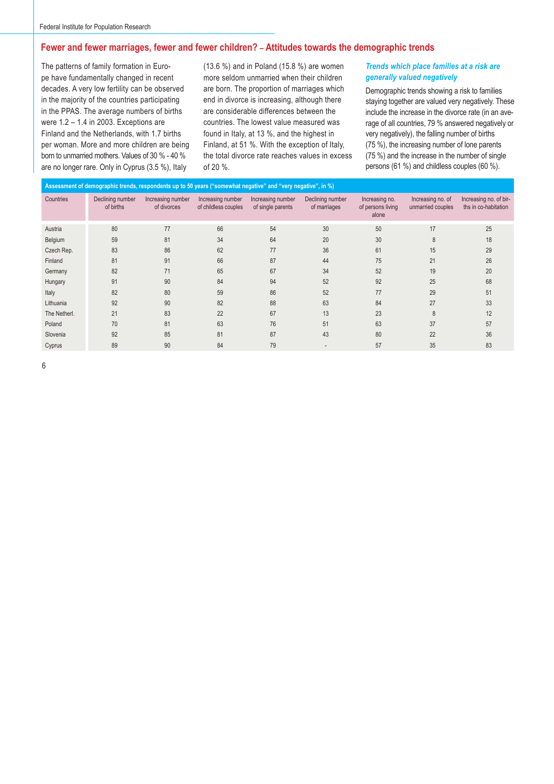# **Fewer and fewer marriages, fewer and fewer children? – Attitudes towards the demographic trends**

The patterns of family formation in Europe have fundamentally changed in recent decades. A very low fertility can be observed in the majority of the countries participating in the PPAS. The average numbers of births were 1.2 – 1.4 in 2003. Exceptions are Finland and the Netherlands, with 1.7 births per woman. More and more children are being born to unmarried mothers. Values of 30 % - 40 % are no longer rare. Only in Cyprus (3.5 %), Italy

(13.6 %) and in Poland (15.8 %) are women more seldom unmarried when their children are born. The proportion of marriages which end in divorce is increasing, although there are considerable differences between the countries. The lowest value measured was found in Italy, at 13 %, and the highest in Finland, at 51 %. With the exception of Italy, the total divorce rate reaches values in excess of 20 %.

#### *Trends which place families at a risk are generally valued negatively*

Demographic trends showing a risk to families staying together are valued very negatively. These include the increase in the divorce rate (in an average of all countries, 79 % answered negatively or very negatively), the falling number of births (75 %), the increasing number of lone parents (75 %) and the increase in the number of single persons (61 %) and childless couples (60 %).

| Assessment of demographic trends, respondents up to 50 years ("somewhat negative" and "very negative", in %) |                               |                                  |                                           |                                        |                                  |                                              |                                        |                                                |  |  |  |
|--------------------------------------------------------------------------------------------------------------|-------------------------------|----------------------------------|-------------------------------------------|----------------------------------------|----------------------------------|----------------------------------------------|----------------------------------------|------------------------------------------------|--|--|--|
| Countries                                                                                                    | Declining number<br>of births | Increasing number<br>of divorces | Increasing number<br>of childless couples | Increasing number<br>of single parents | Declining number<br>of marriages | Increasing no.<br>of persons living<br>alone | Increasing no. of<br>unmarried couples | Increasing no. of bir-<br>ths in co-habitation |  |  |  |
| Austria                                                                                                      | 80                            | 77                               | 66                                        | 54                                     | 30                               | 50                                           | 17                                     | 25                                             |  |  |  |
| Belgium                                                                                                      | 59                            | 81                               | 34                                        | 64                                     | 20                               | 30                                           | 8                                      | 18                                             |  |  |  |
| Czech Rep.                                                                                                   | 83                            | 86                               | 62                                        | 77                                     | 36                               | 61                                           | 15                                     | 29                                             |  |  |  |
| Finland                                                                                                      | 81                            | 91                               | 66                                        | 87                                     | 44                               | 75                                           | 21                                     | 26                                             |  |  |  |
| Germany                                                                                                      | 82                            | 71                               | 65                                        | 67                                     | 34                               | 52                                           | 19                                     | 20                                             |  |  |  |
| Hungary                                                                                                      | 91                            | 90                               | 84                                        | 94                                     | 52                               | 92                                           | 25                                     | 68                                             |  |  |  |
| Italy                                                                                                        | 82                            | 80                               | 59                                        | 86                                     | 52                               | 77                                           | 29                                     | 51                                             |  |  |  |
| Lithuania                                                                                                    | 92                            | 90                               | 82                                        | 88                                     | 63                               | 84                                           | 27                                     | 33                                             |  |  |  |
| The Netherl.                                                                                                 | 21                            | 83                               | 22                                        | 67                                     | 13                               | 23                                           | 8                                      | 12                                             |  |  |  |
| Poland                                                                                                       | 70                            | 81                               | 63                                        | 76                                     | 51                               | 63                                           | 37                                     | 57                                             |  |  |  |
| Slovenia                                                                                                     | 92                            | 85                               | 81                                        | 87                                     | 43                               | 80                                           | 22                                     | 36                                             |  |  |  |
| Cyprus                                                                                                       | 89                            | 90                               | 84                                        | 79                                     |                                  | 57                                           | 35                                     | 83                                             |  |  |  |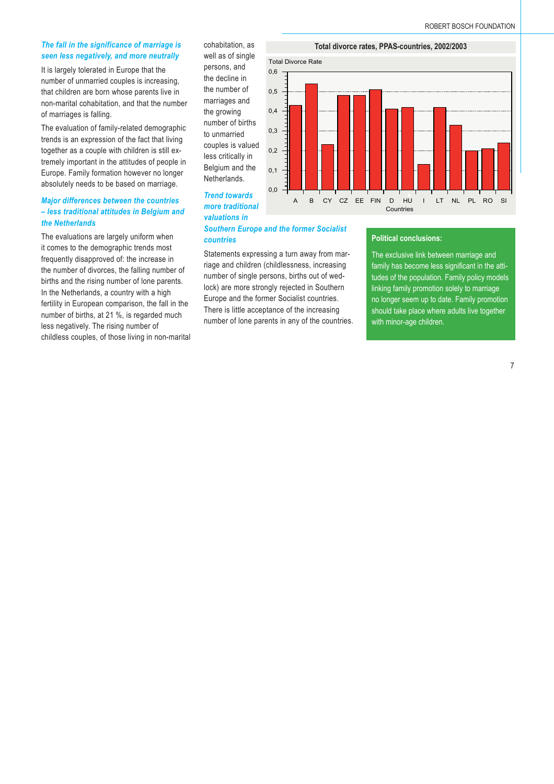#### *The fall in the significance of marriage is seen less negatively, and more neutrally*

It is largely tolerated in Europe that the number of unmarried couples is increasing, that children are born whose parents live in non-marital cohabitation, and that the number of marriages is falling.

The evaluation of family-related demographic trends is an expression of the fact that living together as a couple with children is still extremely important in the attitudes of people in Europe. Family formation however no longer absolutely needs to be based on marriage.

# *Major differences between the countries – less traditional attitudes in Belgium and the Netherlands*

The evaluations are largely uniform when it comes to the demographic trends most frequently disapproved of: the increase in the number of divorces, the falling number of births and the rising number of lone parents. In the Netherlands, a country with a high fertility in European comparison, the fall in the number of births, at 21 %, is regarded much less negatively. The rising number of childless couples, of those living in non-marital cohabitation, as well as of single persons, and the decline in the number of marriages and the growing number of births to unmarried couples is valued less critically in Belgium and the Netherlands.

*Trend towards more traditional valuations in* 



# *Southern Europe and the former Socialist countries*

Statements expressing a turn away from marriage and children (childlessness, increasing number of single persons, births out of wedlock) are more strongly rejected in Southern Europe and the former Socialist countries. There is little acceptance of the increasing number of lone parents in any of the countries.

#### **Political conclusions:**

The exclusive link between marriage and family has become less significant in the attitudes of the population. Family policy models linking family promotion solely to marriage no longer seem up to date. Family promotion should take place where adults live together with minor-age children.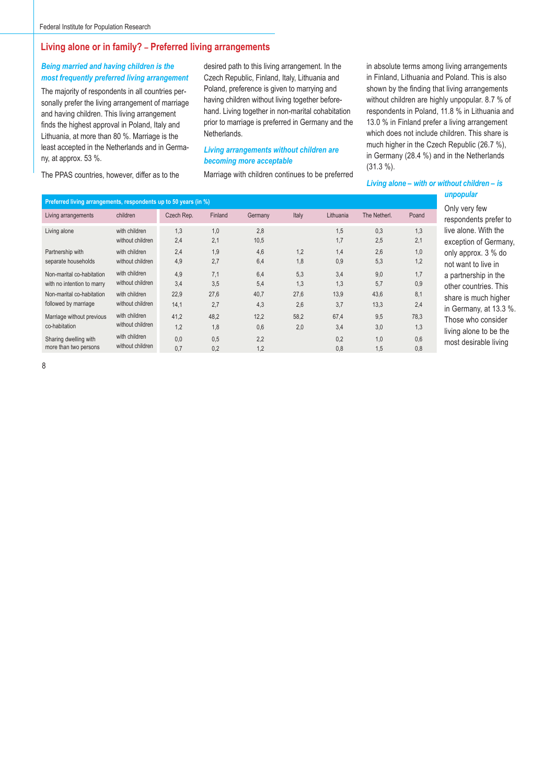# **Living alone or in family? – Preferred living arrangements**

# *Being married and having children is the most frequently preferred living arrangement*

The majority of respondents in all countries personally prefer the living arrangement of marriage and having children. This living arrangement finds the highest approval in Poland, Italy and Lithuania, at more than 80 %. Marriage is the least accepted in the Netherlands and in Germany, at approx. 53 %.

The PPAS countries, however, differ as to the

desired path to this living arrangement. In the Czech Republic, Finland, Italy, Lithuania and Poland, preference is given to marrying and having children without living together beforehand. Living together in non-marital cohabitation prior to marriage is preferred in Germany and the Netherlands.

#### *Living arrangements without children are becoming more acceptable*

Marriage with children continues to be preferred

in absolute terms among living arrangements in Finland, Lithuania and Poland. This is also shown by the finding that living arrangements without children are highly unpopular. 8.7 % of respondents in Poland, 11.8 % in Lithuania and 13.0 % in Finland prefer a living arrangement which does not include children. This share is much higher in the Czech Republic (26.7 %), in Germany (28.4 %) and in the Netherlands (31.3 %).

*Living alone – with or without children – is unpopular*

| Preferred living arrangements, respondents up to 50 years (in %) |                                   |            |            |             |       |            |              |            | unpopular                                     |
|------------------------------------------------------------------|-----------------------------------|------------|------------|-------------|-------|------------|--------------|------------|-----------------------------------------------|
| Living arrangements                                              | children                          | Czech Rep. | Finland    | Germany     | Italy | Lithuania  | The Netherl. | Poand      | Only very few<br>respondents prefer to        |
| Living alone                                                     | with children<br>without children | 1,3<br>2,4 | 1,0<br>2,1 | 2,8<br>10,5 |       | 1,5<br>1,7 | 0,3<br>2,5   | 1,3<br>2,1 | live alone. With the<br>exception of Germany, |
| Partnership with                                                 | with children                     | 2.4        | 1,9        | 4,6         | 1,2   | 1,4        | 2,6          | 1,0        | only approx. 3 % do                           |
| separate households                                              | without children                  | 4,9        | 2,7        | 6,4         | 1,8   | 0,9        | 5,3          | 1,2        | not want to live in                           |
| Non-marital co-habitation                                        | with children                     | 4,9        | 7,1        | 6,4         | 5,3   | 3,4        | 9,0          | 1,7        | a partnership in the                          |
| with no intention to marry                                       | without children                  | 3.4        | 3.5        | 5,4         | 1,3   | 1,3        | 5,7          | 0,9        | other countries. This                         |
| Non-marital co-habitation                                        | with children                     | 22.9       | 27,6       | 40,7        | 27,6  | 13,9       | 43,6         | 8,1        | share is much higher                          |
| followed by marriage                                             | without children                  | 14,1       | 2,7        | 4,3         | 2,6   | 3,7        | 13,3         | 2,4        | in Germany, at 13.3 %.                        |
| Marriage without previous                                        | with children                     | 41,2       | 48,2       | 12,2        | 58,2  | 67,4       | 9,5          | 78,3       | Those who consider                            |
| co-habitation                                                    | without children                  | 1,2        | 1,8        | 0,6         | 2,0   | 3,4        | 3,0          | 1,3        | living alone to be the                        |
| Sharing dwelling with<br>more than two persons                   | with children<br>without children | 0,0<br>0.7 | 0,5<br>0,2 | 2,2<br>1,2  |       | 0,2<br>0,8 | 1,0<br>1,5   | 0,6<br>0,8 | most desirable living                         |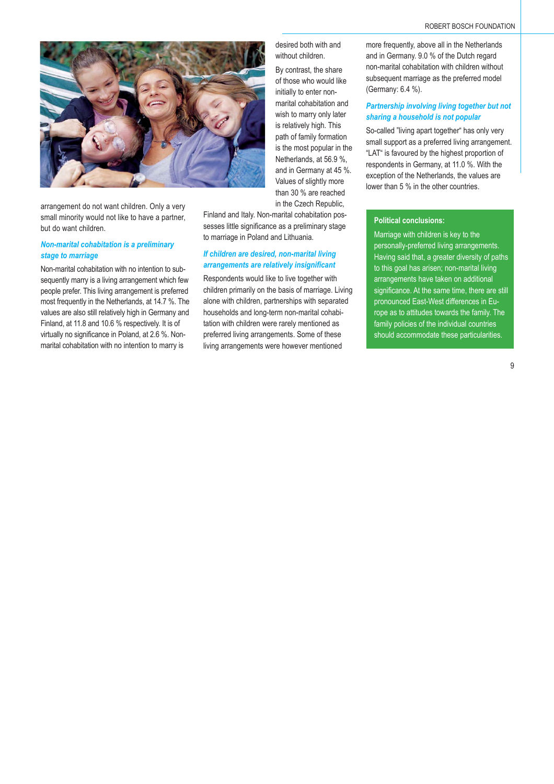

arrangement do not want children. Only a very small minority would not like to have a partner, but do want children.

# *Non-marital cohabitation is a preliminary stage to marriage*

Non-marital cohabitation with no intention to subsequently marry is a living arrangement which few people prefer. This living arrangement is preferred most frequently in the Netherlands, at 14.7 %. The values are also still relatively high in Germany and Finland, at 11.8 and 10.6 % respectively. It is of virtually no significance in Poland, at 2.6 %. Nonmarital cohabitation with no intention to marry is

desired both with and without children.

By contrast, the share of those who would like initially to enter nonmarital cohabitation and wish to marry only later is relatively high. This path of family formation is the most popular in the Netherlands, at 56.9 %, and in Germany at 45 %. Values of slightly more than 30 % are reached in the Czech Republic,

Finland and Italy. Non-marital cohabitation possesses little significance as a preliminary stage to marriage in Poland and Lithuania.

#### *If children are desired, non-marital living arrangements are relatively insignifi cant*

Respondents would like to live together with children primarily on the basis of marriage. Living alone with children, partnerships with separated households and long-term non-marital cohabitation with children were rarely mentioned as preferred living arrangements. Some of these living arrangements were however mentioned

more frequently, above all in the Netherlands and in Germany. 9.0 % of the Dutch regard non-marital cohabitation with children without subsequent marriage as the preferred model (Germany: 6.4 %).

# *Partnership involving living together but not sharing a household is not popular*

So-called "living apart together" has only very small support as a preferred living arrangement. "LAT" is favoured by the highest proportion of respondents in Germany, at 11.0 %. With the exception of the Netherlands, the values are lower than 5 % in the other countries.

# **Political conclusions:**

Marriage with children is key to the personally-preferred living arrangements. Having said that, a greater diversity of paths to this goal has arisen; non-marital living arrangements have taken on additional significance. At the same time, there are still pronounced East-West differences in Europe as to attitudes towards the family. The family policies of the individual countries should accommodate these particularities.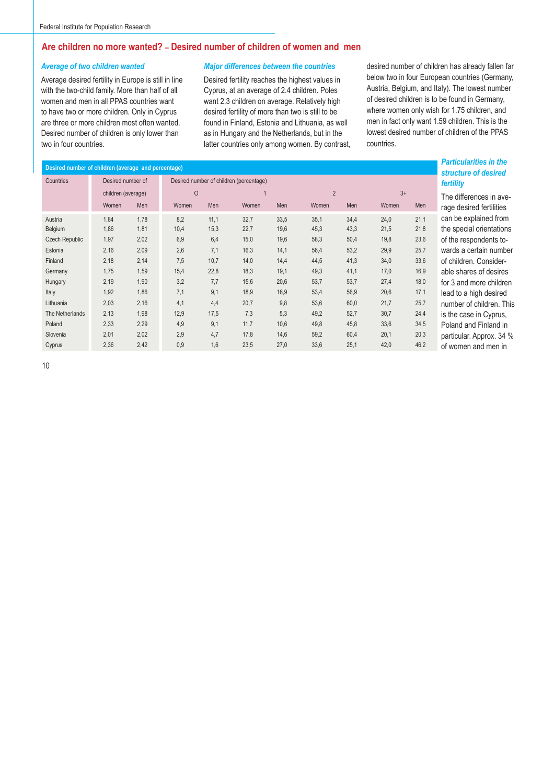# **Are children no more wanted? – Desired number of children of women and men**

#### *Average of two children wanted*

Average desired fertility in Europe is still in line with the two-child family. More than half of all women and men in all PPAS countries want to have two or more children. Only in Cyprus are three or more children most often wanted. Desired number of children is only lower than two in four countries.

#### *Major differences between the countries*

Desired fertility reaches the highest values in Cyprus, at an average of 2.4 children. Poles want 2.3 children on average. Relatively high desired fertility of more than two is still to be found in Finland, Estonia and Lithuania, as well as in Hungary and the Netherlands, but in the latter countries only among women. By contrast, desired number of children has already fallen far below two in four European countries (Germany, Austria, Belgium, and Italy). The lowest number of desired children is to be found in Germany, where women only wish for 1.75 children, and men in fact only want 1.59 children. This is the lowest desired number of children of the PPAS countries.

| Desired number of children (average and percentage) |                    |      |         |      |                                         |      |       |                |       |      |                      |  |
|-----------------------------------------------------|--------------------|------|---------|------|-----------------------------------------|------|-------|----------------|-------|------|----------------------|--|
| Countries                                           | Desired number of  |      |         |      | Desired number of children (percentage) |      |       |                |       |      | structu<br>fertility |  |
|                                                     | children (average) |      | $\circ$ |      |                                         |      |       | $\overline{2}$ |       | $3+$ |                      |  |
|                                                     | Women              | Men  | Women   | Men  | Women                                   | Men  | Women | Men            | Women | Men  | The dif<br>rage de   |  |
| Austria                                             | 1,84               | 1,78 | 8,2     | 11,1 | 32,7                                    | 33,5 | 35,1  | 34,4           | 24,0  | 21,1 | can be               |  |
| Belgium                                             | 1,86               | 1,81 | 10,4    | 15,3 | 22,7                                    | 19,6 | 45,3  | 43,3           | 21,5  | 21,8 | the spe              |  |
| <b>Czech Republic</b>                               | 1,97               | 2,02 | 6,9     | 6,4  | 15,0                                    | 19,6 | 58,3  | 50,4           | 19,8  | 23,6 | of the r             |  |
| Estonia                                             | 2,16               | 2,09 | 2,6     | 7,1  | 16,3                                    | 14,1 | 56,4  | 53,2           | 29,9  | 25,7 | wards a              |  |
| Finland                                             | 2,18               | 2,14 | 7,5     | 10,7 | 14,0                                    | 14,4 | 44,5  | 41,3           | 34,0  | 33,6 | of child             |  |
| Germany                                             | 1,75               | 1,59 | 15,4    | 22,8 | 18,3                                    | 19,1 | 49,3  | 41,1           | 17,0  | 16,9 | able sh              |  |
| Hungary                                             | 2,19               | 1,90 | 3,2     | 7,7  | 15,6                                    | 20,6 | 53,7  | 53,7           | 27,4  | 18,0 | for 3 ar             |  |
| Italy                                               | 1,92               | 1,86 | 7,1     | 9,1  | 18,9                                    | 16,9 | 53,4  | 56,9           | 20,6  | 17,1 | lead to              |  |
| Lithuania                                           | 2,03               | 2,16 | 4,1     | 4,4  | 20,7                                    | 9,8  | 53,6  | 60,0           | 21,7  | 25,7 | numbe                |  |
| The Netherlands                                     | 2,13               | 1,98 | 12,9    | 17,5 | 7,3                                     | 5,3  | 49,2  | 52,7           | 30,7  | 24,4 | is the c             |  |
| Poland                                              | 2,33               | 2,29 | 4,9     | 9,1  | 11,7                                    | 10,6 | 49,8  | 45,8           | 33,6  | 34,5 | Poland               |  |
| Slovenia                                            | 2,01               | 2,02 | 2,9     | 4,7  | 17,8                                    | 14,6 | 59,2  | 60,4           | 20,1  | 20,3 | particul             |  |
| Cyprus                                              | 2,36               | 2,42 | 0,9     | 1,6  | 23,5                                    | 27,0 | 33,6  | 25,1           | 42,0  | 46,2 | of wom               |  |

*Particularities in the structure of desired fertility*

ferences in aveesired fertilities explained from ecial orientations espondents toa certain number dren. Considerares of desires nd more children a high desired r of children. This ase in Cyprus, and Finland in lar. Approx. 34 % en and men in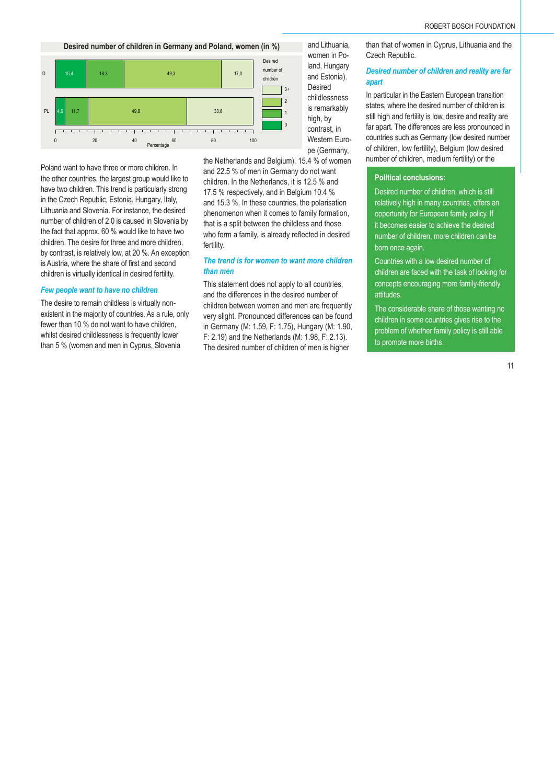**Desired number of children in Germany and Poland, women (in %)**



Poland want to have three or more children. In the other countries, the largest group would like to have two children. This trend is particularly strong in the Czech Republic, Estonia, Hungary, Italy, Lithuania and Slovenia. For instance, the desired number of children of 2.0 is caused in Slovenia by the fact that approx. 60 % would like to have two children. The desire for three and more children, by contrast, is relatively low, at 20 %. An exception is Austria, where the share of first and second children is virtually identical in desired fertility.

#### *Few people want to have no children*

The desire to remain childless is virtually nonexistent in the majority of countries. As a rule, only fewer than 10 % do not want to have children, whilst desired childlessness is frequently lower than 5 % (women and men in Cyprus, Slovenia



the Netherlands and Belgium). 15.4 % of women and 22.5 % of men in Germany do not want children. In the Netherlands, it is 12.5 % and 17.5 % respectively, and in Belgium 10.4 % and 15.3 %. In these countries, the polarisation phenomenon when it comes to family formation, that is a split between the childless and those who form a family, is already reflected in desired fertility.

#### *The trend is for women to want more children than men*

This statement does not apply to all countries, and the differences in the desired number of children between women and men are frequently very slight. Pronounced differences can be found in Germany (M: 1.59, F: 1.75), Hungary (M: 1.90, F: 2.19) and the Netherlands (M: 1.98, F: 2.13). The desired number of children of men is higher

than that of women in Cyprus, Lithuania and the Czech Republic.

#### *Desired number of children and reality are far apart*

In particular in the Eastern European transition states, where the desired number of children is still high and fertility is low, desire and reality are far apart. The differences are less pronounced in countries such as Germany (low desired number of children, low fertility), Belgium (low desired number of children, medium fertility) or the

#### **Political conclusions:**

Desired number of children, which is still relatively high in many countries, offers an opportunity for European family policy. If it becomes easier to achieve the desired number of children, more children can be born once again.

Countries with a low desired number of children are faced with the task of looking for concepts encouraging more family-friendly attitudes.

The considerable share of those wanting no children in some countries gives rise to the problem of whether family policy is still able to promote more births.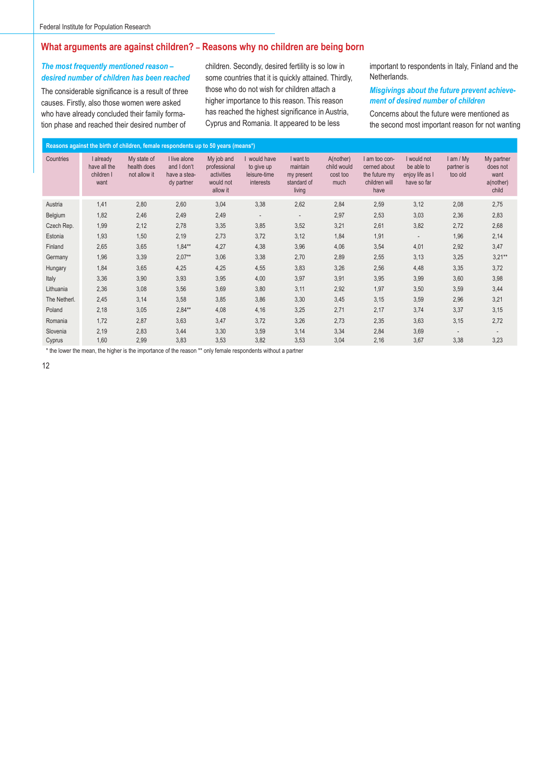# **What arguments are against children? – Reasons why no children are being born**

#### *The most frequently mentioned reason – desired number of children has been reached*

The considerable significance is a result of three causes. Firstly, also those women were asked who have already concluded their family formation phase and reached their desired number of

children. Secondly, desired fertility is so low in some countries that it is quickly attained. Thirdly, those who do not wish for children attach a higher importance to this reason. This reason has reached the highest significance in Austria, Cyprus and Romania. It appeared to be less

important to respondents in Italy, Finland and the Netherlands.

# *Misgivings about the future prevent achievement of desired number of children*

Concerns about the future were mentioned as the second most important reason for not wanting

| Reasons against the birth of children, female respondents up to 50 years (means*) |                                                 |                                            |                                                           |                                                                   |                                                       |                                                              |                                              |                                                                         |                                                             |                                      |                                                      |  |
|-----------------------------------------------------------------------------------|-------------------------------------------------|--------------------------------------------|-----------------------------------------------------------|-------------------------------------------------------------------|-------------------------------------------------------|--------------------------------------------------------------|----------------------------------------------|-------------------------------------------------------------------------|-------------------------------------------------------------|--------------------------------------|------------------------------------------------------|--|
| Countries                                                                         | I already<br>have all the<br>children I<br>want | My state of<br>health does<br>not allow it | I live alone<br>and I don't<br>have a stea-<br>dy partner | My job and<br>professional<br>activities<br>would not<br>allow it | would have<br>to give up<br>leisure-time<br>interests | I want to<br>maintain<br>my present<br>standard of<br>living | A(nother)<br>child would<br>cost too<br>much | I am too con-<br>cerned about<br>the future my<br>children will<br>have | I would not<br>be able to<br>enjoy life as I<br>have so far | $l$ am / My<br>partner is<br>too old | My partner<br>does not<br>want<br>a(nother)<br>child |  |
| Austria                                                                           | 1,41                                            | 2,80                                       | 2,60                                                      | 3,04                                                              | 3,38                                                  | 2,62                                                         | 2,84                                         | 2,59                                                                    | 3,12                                                        | 2,08                                 | 2,75                                                 |  |
| Belgium                                                                           | 1,82                                            | 2,46                                       | 2,49                                                      | 2,49                                                              | $\overline{\phantom{a}}$                              | $\overline{\phantom{a}}$                                     | 2,97                                         | 2,53                                                                    | 3,03                                                        | 2,36                                 | 2,83                                                 |  |
| Czech Rep.                                                                        | 1,99                                            | 2,12                                       | 2,78                                                      | 3,35                                                              | 3,85                                                  | 3,52                                                         | 3,21                                         | 2,61                                                                    | 3,82                                                        | 2,72                                 | 2,68                                                 |  |
| Estonia                                                                           | 1,93                                            | 1,50                                       | 2,19                                                      | 2,73                                                              | 3,72                                                  | 3,12                                                         | 1,84                                         | 1,91                                                                    | $\overline{\phantom{a}}$                                    | 1,96                                 | 2,14                                                 |  |
| Finland                                                                           | 2,65                                            | 3,65                                       | $1.84**$                                                  | 4,27                                                              | 4,38                                                  | 3,96                                                         | 4,06                                         | 3,54                                                                    | 4,01                                                        | 2,92                                 | 3,47                                                 |  |
| Germany                                                                           | 1,96                                            | 3,39                                       | $2,07**$                                                  | 3,06                                                              | 3,38                                                  | 2,70                                                         | 2,89                                         | 2,55                                                                    | 3,13                                                        | 3,25                                 | $3,21**$                                             |  |
| Hungary                                                                           | 1,84                                            | 3,65                                       | 4,25                                                      | 4,25                                                              | 4,55                                                  | 3,83                                                         | 3,26                                         | 2,56                                                                    | 4,48                                                        | 3,35                                 | 3,72                                                 |  |
| Italy                                                                             | 3,36                                            | 3,90                                       | 3,93                                                      | 3,95                                                              | 4,00                                                  | 3,97                                                         | 3,91                                         | 3,95                                                                    | 3,99                                                        | 3,60                                 | 3,98                                                 |  |
| Lithuania                                                                         | 2,36                                            | 3,08                                       | 3,56                                                      | 3,69                                                              | 3,80                                                  | 3,11                                                         | 2,92                                         | 1,97                                                                    | 3,50                                                        | 3,59                                 | 3,44                                                 |  |
| The Netherl.                                                                      | 2,45                                            | 3,14                                       | 3,58                                                      | 3,85                                                              | 3,86                                                  | 3,30                                                         | 3,45                                         | 3,15                                                                    | 3,59                                                        | 2,96                                 | 3,21                                                 |  |
| Poland                                                                            | 2,18                                            | 3,05                                       | $2.84**$                                                  | 4,08                                                              | 4,16                                                  | 3,25                                                         | 2,71                                         | 2,17                                                                    | 3,74                                                        | 3,37                                 | 3,15                                                 |  |
| Romania                                                                           | 1,72                                            | 2,87                                       | 3,63                                                      | 3,47                                                              | 3,72                                                  | 3,26                                                         | 2,73                                         | 2,35                                                                    | 3,63                                                        | 3,15                                 | 2,72                                                 |  |
| Slovenia                                                                          | 2,19                                            | 2,83                                       | 3,44                                                      | 3,30                                                              | 3,59                                                  | 3,14                                                         | 3,34                                         | 2,84                                                                    | 3,69                                                        |                                      |                                                      |  |
| Cyprus                                                                            | 1,60                                            | 2,99                                       | 3,83                                                      | 3,53                                                              | 3,82                                                  | 3,53                                                         | 3,04                                         | 2,16                                                                    | 3,67                                                        | 3,38                                 | 3,23                                                 |  |

\* the lower the mean, the higher is the importance of the reason \*\* only female respondents without a partner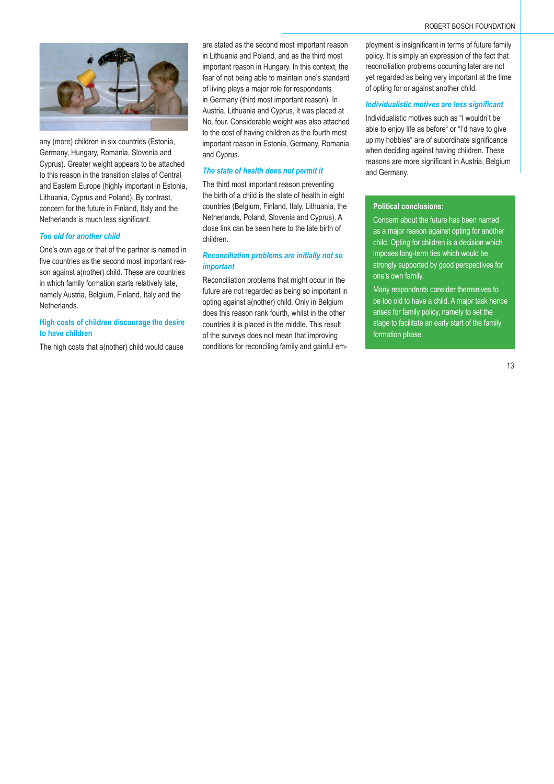

any (more) children in six countries (Estonia, Germany, Hungary, Romania, Slovenia and Cyprus). Greater weight appears to be attached to this reason in the transition states of Central and Eastern Europe (highly important in Estonia, Lithuania, Cyprus and Poland). By contrast, concern for the future in Finland, Italy and the Netherlands is much less significant.

#### *Too old for another child*

One's own age or that of the partner is named in five countries as the second most important reason against a(nother) child. These are countries in which family formation starts relatively late, namely Austria, Belgium, Finland, Italy and the Netherlands.

# **High costs of children discourage the desire to have children**

The high costs that a(nother) child would cause

are stated as the second most important reason in Lithuania and Poland, and as the third most important reason in Hungary. In this context, the fear of not being able to maintain one's standard of living plays a major role for respondents in Germany (third most important reason). In Austria, Lithuania and Cyprus, it was placed at No. four. Considerable weight was also attached to the cost of having children as the fourth most important reason in Estonia, Germany, Romania and Cyprus.

#### *The state of health does not permit it*

The third most important reason preventing the birth of a child is the state of health in eight countries (Belgium, Finland, Italy, Lithuania, the Netherlands, Poland, Slovenia and Cyprus). A close link can be seen here to the late birth of children.

#### *Reconciliation problems are initially not so important*

Reconciliation problems that might occur in the future are not regarded as being so important in opting against a(nother) child. Only in Belgium does this reason rank fourth, whilst in the other countries it is placed in the middle. This result of the surveys does not mean that improving conditions for reconciling family and gainful employment is insignificant in terms of future family policy. It is simply an expression of the fact that reconciliation problems occurring later are not yet regarded as being very important at the time of opting for or against another child.

#### **Individualistic motives are less significant**

Individualistic motives such as "I wouldn't be able to enjoy life as before" or "I'd have to give up my hobbies" are of subordinate significance when deciding against having children. These reasons are more significant in Austria, Belgium and Germany.

#### **Political conclusions:**

Concern about the future has been named as a major reason against opting for another child. Opting for children is a decision which imposes long-term ties which would be strongly supported by good perspectives for one's own family.

Many respondents consider themselves to be too old to have a child. A major task hence arises for family policy, namely to set the stage to facilitate an early start of the family formation phase.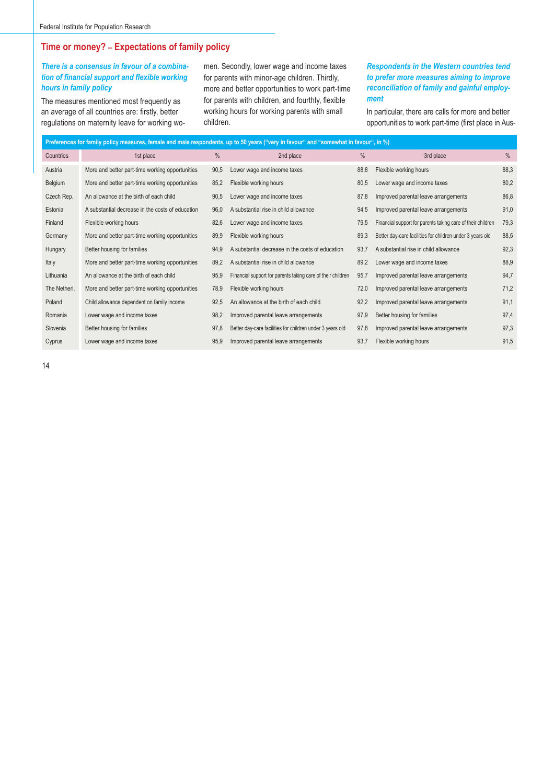# **Time or money? – Expectations of family policy**

# *There is a consensus in favour of a combination of financial support and flexible working hours in family policy*

The measures mentioned most frequently as an average of all countries are: firstly, better regulations on maternity leave for working women. Secondly, lower wage and income taxes for parents with minor-age children. Thirdly, more and better opportunities to work part-time for parents with children, and fourthly, flexible working hours for working parents with small children.

# *Respondents in the Western countries tend to prefer more measures aiming to improve reconciliation of family and gainful employment*

In particular, there are calls for more and better opportunities to work part-time (first place in Aus-

|              | Preferences for family policy measures, female and male respondents, up to 50 years ("very in favour" and "somewhat in favour", in %) |      |                                                             |      |                                                             |      |  |  |  |  |  |
|--------------|---------------------------------------------------------------------------------------------------------------------------------------|------|-------------------------------------------------------------|------|-------------------------------------------------------------|------|--|--|--|--|--|
| Countries    | 1st place                                                                                                                             | $\%$ | 2nd place                                                   | $\%$ | 3rd place                                                   | $\%$ |  |  |  |  |  |
| Austria      | More and better part-time working opportunities                                                                                       | 90,5 | Lower wage and income taxes                                 | 88,8 | Flexible working hours                                      | 88,3 |  |  |  |  |  |
| Belgium      | More and better part-time working opportunities                                                                                       | 85,2 | Flexible working hours                                      | 80,5 | Lower wage and income taxes                                 | 80,2 |  |  |  |  |  |
| Czech Rep.   | An allowance at the birth of each child                                                                                               | 90,5 | Lower wage and income taxes                                 | 87,8 | Improved parental leave arrangements                        | 86,8 |  |  |  |  |  |
| Estonia      | A substantial decrease in the costs of education                                                                                      | 96,0 | A substantial rise in child allowance                       | 94,5 | Improved parental leave arrangements                        | 91,0 |  |  |  |  |  |
| Finland      | Flexible working hours                                                                                                                | 82,6 | Lower wage and income taxes                                 | 79,5 | Financial support for parents taking care of their children | 79,3 |  |  |  |  |  |
| Germany      | More and better part-time working opportunities                                                                                       | 89,9 | Flexible working hours                                      | 89,3 | Better day-care facilities for children under 3 years old   | 88,5 |  |  |  |  |  |
| Hungary      | Better housing for families                                                                                                           | 94,9 | A substantial decrease in the costs of education            | 93,7 | A substantial rise in child allowance                       | 92,3 |  |  |  |  |  |
| Italy        | More and better part-time working opportunities                                                                                       | 89,2 | A substantial rise in child allowance                       | 89,2 | Lower wage and income taxes                                 | 88,9 |  |  |  |  |  |
| Lithuania    | An allowance at the birth of each child                                                                                               | 95,9 | Financial support for parents taking care of their children | 95,7 | Improved parental leave arrangements                        | 94,7 |  |  |  |  |  |
| The Netherl. | More and better part-time working opportunities                                                                                       | 78,9 | Flexible working hours                                      | 72,0 | Improved parental leave arrangements                        | 71,2 |  |  |  |  |  |
| Poland       | Child allowance dependent on family income                                                                                            | 92,5 | An allowance at the birth of each child                     | 92,2 | Improved parental leave arrangements                        | 91,1 |  |  |  |  |  |
| Romania      | Lower wage and income taxes                                                                                                           | 98,2 | Improved parental leave arrangements                        | 97,9 | Better housing for families                                 | 97,4 |  |  |  |  |  |
| Slovenia     | Better housing for families                                                                                                           | 97,8 | Better day-care facilities for children under 3 years old   | 97,8 | Improved parental leave arrangements                        | 97,3 |  |  |  |  |  |
| Cyprus       | Lower wage and income taxes                                                                                                           | 95,9 | Improved parental leave arrangements                        | 93,7 | Flexible working hours                                      | 91,5 |  |  |  |  |  |
|              |                                                                                                                                       |      |                                                             |      |                                                             |      |  |  |  |  |  |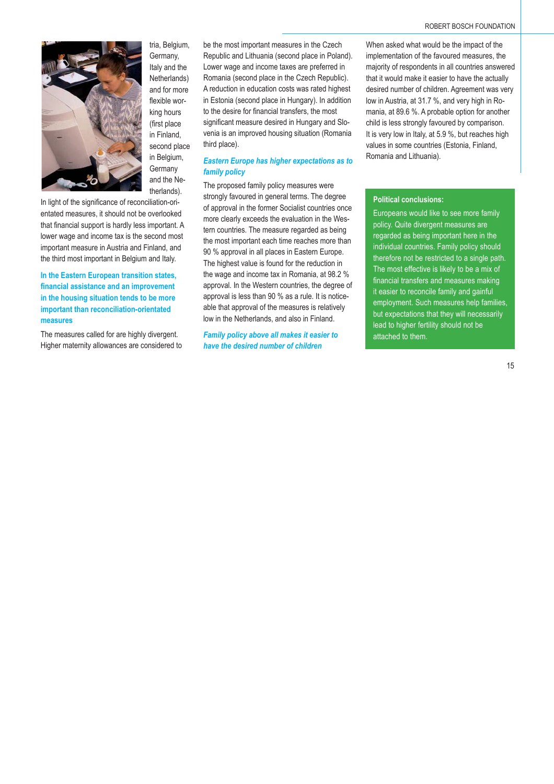



tria, Belgium, Germany, Italy and the Netherlands) and for more flexible working hours (first place in Finland, second place in Belgium, **Germany** and the Netherlands).

In light of the significance of reconciliation-orientated measures, it should not be overlooked that financial support is hardly less important. A lower wage and income tax is the second most important measure in Austria and Finland, and the third most important in Belgium and Italy.

**In the Eastern European transition states,**  financial assistance and an improvement **in the housing situation tends to be more important than reconciliation-orientated measures**

The measures called for are highly divergent. Higher maternity allowances are considered to be the most important measures in the Czech Republic and Lithuania (second place in Poland). Lower wage and income taxes are preferred in Romania (second place in the Czech Republic). A reduction in education costs was rated highest in Estonia (second place in Hungary). In addition to the desire for financial transfers, the most significant measure desired in Hungary and Slovenia is an improved housing situation (Romania third place).

# *Eastern Europe has higher expectations as to family policy*

The proposed family policy measures were strongly favoured in general terms. The degree of approval in the former Socialist countries once more clearly exceeds the evaluation in the Western countries. The measure regarded as being the most important each time reaches more than 90 % approval in all places in Eastern Europe. The highest value is found for the reduction in the wage and income tax in Romania, at 98.2 % approval. In the Western countries, the degree of approval is less than 90 % as a rule. It is noticeable that approval of the measures is relatively low in the Netherlands, and also in Finland.

*Family policy above all makes it easier to have the desired number of children*

When asked what would be the impact of the implementation of the favoured measures, the majority of respondents in all countries answered that it would make it easier to have the actually desired number of children. Agreement was very low in Austria, at 31.7 %, and very high in Romania, at 89.6 %. A probable option for another child is less strongly favoured by comparison. It is very low in Italy, at 5.9 %, but reaches high values in some countries (Estonia, Finland, Romania and Lithuania).

#### **Political conclusions:**

Europeans would like to see more family policy. Quite divergent measures are regarded as being important here in the individual countries. Family policy should therefore not be restricted to a single path. The most effective is likely to be a mix of financial transfers and measures making it easier to reconcile family and gainful employment. Such measures help families, but expectations that they will necessarily lead to higher fertility should not be attached to them.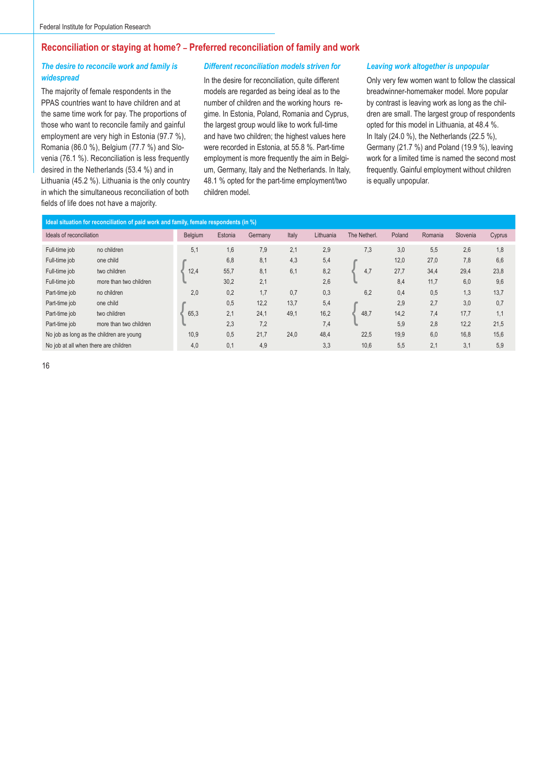# **Reconciliation or staying at home? – Preferred reconciliation of family and work**

# *The desire to reconcile work and family is widespread*

The majority of female respondents in the PPAS countries want to have children and at the same time work for pay. The proportions of those who want to reconcile family and gainful employment are very high in Estonia (97.7 %), Romania (86.0 %), Belgium (77.7 %) and Slovenia (76.1 %). Reconciliation is less frequently desired in the Netherlands (53.4 %) and in Lithuania (45.2 %). Lithuania is the only country in which the simultaneous reconciliation of both fields of life does not have a majority.

#### *Different reconciliation models striven for*

In the desire for reconciliation, quite different models are regarded as being ideal as to the number of children and the working hours regime. In Estonia, Poland, Romania and Cyprus, the largest group would like to work full-time and have two children; the highest values here were recorded in Estonia, at 55.8 %. Part-time employment is more frequently the aim in Belgium, Germany, Italy and the Netherlands. In Italy, 48.1 % opted for the part-time employment/two children model.

#### *Leaving work altogether is unpopular*

Only very few women want to follow the classical breadwinner-homemaker model. More popular by contrast is leaving work as long as the children are small. The largest group of respondents opted for this model in Lithuania, at 48.4 %. In Italy (24.0 %), the Netherlands (22.5 %), Germany (21.7 %) and Poland (19.9 %), leaving work for a limited time is named the second most frequently. Gainful employment without children is equally unpopular.

| Ideal situation for reconciliation of paid work and family, female respondents (in %) |                                          |         |         |         |       |           |              |        |         |          |        |
|---------------------------------------------------------------------------------------|------------------------------------------|---------|---------|---------|-------|-----------|--------------|--------|---------|----------|--------|
| Ideals of reconciliation                                                              |                                          | Belgium | Estonia | Germany | Italy | Lithuania | The Netherl. | Poland | Romania | Slovenia | Cyprus |
| Full-time job                                                                         | no children                              | 5,1     | 1,6     | 7,9     | 2,1   | 2,9       | 7,3          | 3.0    | 5,5     | 2,6      | 1,8    |
| Full-time job                                                                         | one child                                |         | 6.8     | 8.1     | 4,3   | 5,4       |              | 12,0   | 27,0    | 7.8      | 6.6    |
| Full-time job                                                                         | two children                             | 12,4    | 55,7    | 8.1     | 6,1   | 8,2       | 4,7          | 27,7   | 34,4    | 29,4     | 23,8   |
| Full-time job                                                                         | more than two children                   |         | 30.2    | 2.1     |       | 2.6       |              | 8.4    | 11,7    | 6.0      | 9.6    |
| Part-time job                                                                         | no children                              | 2,0     | 0,2     | 1.7     | 0.7   | 0,3       | 6,2          | 0,4    | 0.5     | 1,3      | 13,7   |
| Part-time job                                                                         | one child                                |         | 0,5     | 12,2    | 13,7  | 5,4       |              | 2,9    | 2,7     | 3,0      | 0,7    |
| Part-time job                                                                         | two children                             | 65.3    | 2.1     | 24.1    | 49,1  | 16,2      | 48,7         | 14,2   | 7,4     | 17.7     | 1,1    |
| Part-time job                                                                         | more than two children                   |         | 2,3     | 7,2     |       | 7,4       |              | 5,9    | 2,8     | 12,2     | 21,5   |
|                                                                                       | No job as long as the children are young | 10,9    | 0,5     | 21,7    | 24,0  | 48,4      | 22,5         | 19,9   | 6,0     | 16,8     | 15,6   |
| No job at all when there are children                                                 |                                          | 4,0     | 0,1     | 4,9     |       | 3,3       | 10,6         | 5,5    | 2,1     | 3,1      | 5,9    |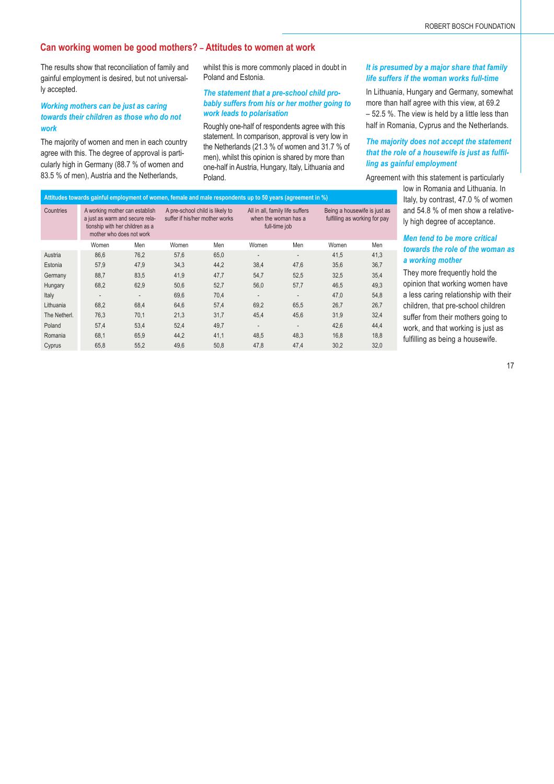# **Can working women be good mothers? – Attitudes to women at work**

The results show that reconciliation of family and gainful employment is desired, but not universally accepted.

### *Working mothers can be just as caring towards their children as those who do not work*

The majority of women and men in each country agree with this. The degree of approval is particularly high in Germany (88.7 % of women and 83.5 % of men), Austria and the Netherlands

whilst this is more commonly placed in doubt in Poland and Estonia.

#### *The statement that a pre-school child probably suffers from his or her mother going to work leads to polarisation*

Roughly one-half of respondents agree with this statement. In comparison, approval is very low in the Netherlands (21.3 % of women and 31.7 % of men), whilst this opinion is shared by more than one-half in Austria, Hungary, Italy, Lithuania and Poland.

#### *It is presumed by a major share that family life suffers if the woman works full-time*

In Lithuania, Hungary and Germany, somewhat more than half agree with this view, at 69.2 – 52.5 %. The view is held by a little less than half in Romania, Cyprus and the Netherlands.

# *The majority does not accept the statement*  that the role of a housewife is just as fulfil*ling as gainful employment*

Agreement with this statement is particularly

low in Romania and Lithuania. In Italy, by contrast, 47.0 % of women and 54.8 % of men show a relatively high degree of acceptance.

### *Men tend to be more critical towards the role of the woman as a working mother*

They more frequently hold the opinion that working women have a less caring relationship with their children, that pre-school children suffer from their mothers going to work, and that working is just as fulfilling as being a housewife.

|                                                                                                            | 00.0 70 01 mun), Augula and the Netherlands,<br>Poland.<br>Agreemer                                                              |      |                                                                   |      |                                                                          |                |                                                               |      |  |  |  |
|------------------------------------------------------------------------------------------------------------|----------------------------------------------------------------------------------------------------------------------------------|------|-------------------------------------------------------------------|------|--------------------------------------------------------------------------|----------------|---------------------------------------------------------------|------|--|--|--|
| Attitudes towards gainful employment of women, female and male respondents up to 50 years (agreement in %) |                                                                                                                                  |      |                                                                   |      |                                                                          |                |                                                               |      |  |  |  |
| Countries                                                                                                  | A working mother can establish<br>a just as warm and secure rela-<br>tionship with her children as a<br>mother who does not work |      | A pre-school child is likely to<br>suffer if his/her mother works |      | All in all, family life suffers<br>when the woman has a<br>full-time job |                | Being a housewife is just as<br>fulfilling as working for pay |      |  |  |  |
|                                                                                                            | Women                                                                                                                            | Men  | Women                                                             | Men  | Women                                                                    | Men            | Women                                                         | Men  |  |  |  |
| Austria                                                                                                    | 86,6                                                                                                                             | 76,2 | 57,6                                                              | 65,0 | $\overline{\phantom{a}}$                                                 | $\blacksquare$ | 41,5                                                          | 41,3 |  |  |  |
| Estonia                                                                                                    | 57,9                                                                                                                             | 47,9 | 34,3                                                              | 44,2 | 38,4                                                                     | 47,6           | 35,6                                                          | 36,7 |  |  |  |
| Germany                                                                                                    | 88,7                                                                                                                             | 83,5 | 41,9                                                              | 47,7 | 54,7                                                                     | 52,5           | 32,5                                                          | 35,4 |  |  |  |
| Hungary                                                                                                    | 68,2                                                                                                                             | 62,9 | 50,6                                                              | 52,7 | 56,0                                                                     | 57,7           | 46,5                                                          | 49,3 |  |  |  |
| Italy                                                                                                      | $\blacksquare$                                                                                                                   |      | 69,6                                                              | 70,4 | $\overline{\phantom{a}}$                                                 | $\blacksquare$ | 47,0                                                          | 54,8 |  |  |  |
| Lithuania                                                                                                  | 68,2                                                                                                                             | 68,4 | 64,6                                                              | 57,4 | 69,2                                                                     | 65,5           | 26,7                                                          | 26,7 |  |  |  |
| The Netherl.                                                                                               | 76,3                                                                                                                             | 70,1 | 21,3                                                              | 31,7 | 45,4                                                                     | 45,6           | 31,9                                                          | 32,4 |  |  |  |
| Poland                                                                                                     | 57,4                                                                                                                             | 53,4 | 52,4                                                              | 49,7 | $\overline{\phantom{a}}$                                                 |                | 42,6                                                          | 44,4 |  |  |  |
| Romania                                                                                                    | 68,1                                                                                                                             | 65,9 | 44,2                                                              | 41,1 | 48,5                                                                     | 48,3           | 16,8                                                          | 18,8 |  |  |  |
| Cyprus                                                                                                     | 65,8                                                                                                                             | 55,2 | 49,6                                                              | 50,8 | 47,8                                                                     | 47,4           | 30.2                                                          | 32,0 |  |  |  |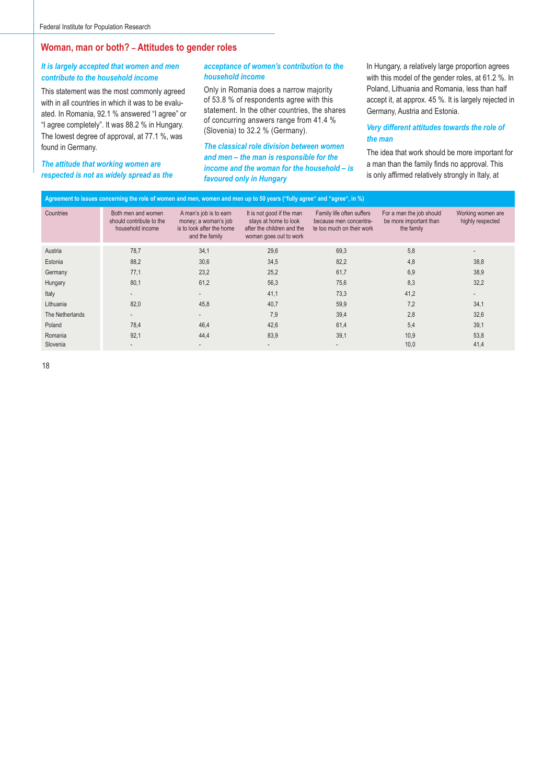# **Woman, man or both? – Attitudes to gender roles**

# *It is largely accepted that women and men contribute to the household income*

This statement was the most commonly agreed with in all countries in which it was to be evaluated. In Romania, 92.1 % answered "I agree" or "I agree completely". It was 88.2 % in Hungary. The lowest degree of approval, at 77.1 %, was found in Germany.

#### *The attitude that working women are respected is not as widely spread as the*

# *acceptance of women's contribution to the household income*

Only in Romania does a narrow majority of 53.8 % of respondents agree with this statement. In the other countries, the shares of concurring answers range from 41.4 % (Slovenia) to 32.2 % (Germany).

*The classical role division between women and men – the man is responsible for the income and the woman for the household – is favoured only in Hungary*

In Hungary, a relatively large proportion agrees with this model of the gender roles, at 61.2 %. In Poland, Lithuania and Romania, less than half accept it, at approx. 45 %. It is largely rejected in Germany, Austria and Estonia.

### *Very different attitudes towards the role of the man*

The idea that work should be more important for a man than the family finds no approval. This is only affirmed relatively strongly in Italy, at

| Agreement to issues concerning the role of women and men, women and men up to 50 years ("fully agree" and "agree", in %) |                                                                    |                                                                                               |                                                                                                            |                                                                                  |                                                                  |                                       |  |  |  |  |
|--------------------------------------------------------------------------------------------------------------------------|--------------------------------------------------------------------|-----------------------------------------------------------------------------------------------|------------------------------------------------------------------------------------------------------------|----------------------------------------------------------------------------------|------------------------------------------------------------------|---------------------------------------|--|--|--|--|
| Countries                                                                                                                | Both men and women<br>should contribute to the<br>household income | A man's job is to earn<br>money; a woman's job<br>is to look after the home<br>and the family | It is not good if the man<br>stays at home to look<br>after the children and the<br>woman goes out to work | Family life often suffers<br>because men concentra-<br>te too much on their work | For a man the job should<br>be more important than<br>the family | Working women are<br>highly respected |  |  |  |  |
| Austria                                                                                                                  | 78,7                                                               | 34,1                                                                                          | 29,6                                                                                                       | 69,3                                                                             | 5,8                                                              | ٠                                     |  |  |  |  |
| Estonia                                                                                                                  | 88,2                                                               | 30,6                                                                                          | 34,5                                                                                                       | 82,2                                                                             | 4,8                                                              | 38,8                                  |  |  |  |  |
| Germany                                                                                                                  | 77,1                                                               | 23,2                                                                                          | 25,2                                                                                                       | 61,7                                                                             | 6,9                                                              | 38,9                                  |  |  |  |  |
| Hungary                                                                                                                  | 80,1                                                               | 61,2                                                                                          | 56,3                                                                                                       | 75,6                                                                             | 8,3                                                              | 32,2                                  |  |  |  |  |
| Italy                                                                                                                    | $\overline{\phantom{a}}$                                           | $\overline{\phantom{a}}$                                                                      | 41,1                                                                                                       | 73,3                                                                             | 41,2                                                             | ۰                                     |  |  |  |  |
| Lithuania                                                                                                                | 82,0                                                               | 45,8                                                                                          | 40,7                                                                                                       | 59,9                                                                             | 7,2                                                              | 34,1                                  |  |  |  |  |
| The Netherlands                                                                                                          |                                                                    |                                                                                               | 7,9                                                                                                        | 39,4                                                                             | 2,8                                                              | 32,6                                  |  |  |  |  |
| Poland                                                                                                                   | 78,4                                                               | 46,4                                                                                          | 42,6                                                                                                       | 61,4                                                                             | 5,4                                                              | 39,1                                  |  |  |  |  |
| Romania                                                                                                                  | 92,1                                                               | 44,4                                                                                          | 83,9                                                                                                       | 39,1                                                                             | 10,9                                                             | 53,8                                  |  |  |  |  |
| Slovenia                                                                                                                 | $\overline{\phantom{a}}$                                           |                                                                                               |                                                                                                            |                                                                                  | 10,0                                                             | 41,4                                  |  |  |  |  |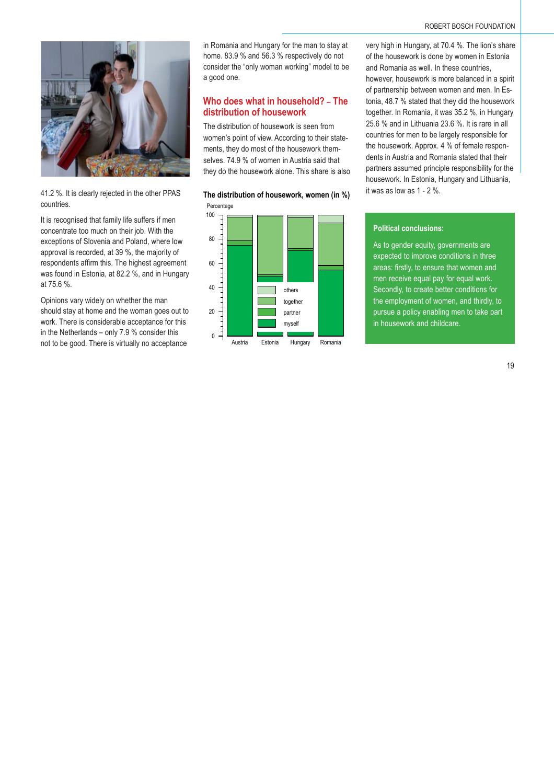

41.2 %. It is clearly rejected in the other PPAS countries.

It is recognised that family life suffers if men concentrate too much on their job. With the exceptions of Slovenia and Poland, where low approval is recorded, at 39 %, the majority of respondents affirm this. The highest agreement was found in Estonia, at 82.2 %, and in Hungary at 75.6 %.

Opinions vary widely on whether the man should stay at home and the woman goes out to work. There is considerable acceptance for this in the Netherlands – only 7.9 % consider this not to be good. There is virtually no acceptance

in Romania and Hungary for the man to stay at home. 83.9 % and 56.3 % respectively do not consider the "only woman working" model to be a good one.

# **Who does what in household? – The distribution of housework**

The distribution of housework is seen from women's point of view. According to their statements, they do most of the housework themselves. 74.9 % of women in Austria said that they do the housework alone. This share is also

Percentage **The distribution of housework, women (in %)**



very high in Hungary, at 70.4 %. The lion's share of the housework is done by women in Estonia and Romania as well. In these countries, however, housework is more balanced in a spirit of partnership between women and men. In Estonia, 48.7 % stated that they did the housework together. In Romania, it was 35.2 %, in Hungary 25.6 % and in Lithuania 23.6 %. It is rare in all countries for men to be largely responsible for the housework. Approx. 4 % of female respondents in Austria and Romania stated that their partners assumed principle responsibility for the housework. In Estonia, Hungary and Lithuania, it was as low as 1 - 2 %.

# **Political conclusions:**

As to gender equity, governments are expected to improve conditions in three areas: firstly, to ensure that women and men receive equal pay for equal work. Secondly, to create better conditions for the employment of women, and thirdly, to pursue a policy enabling men to take part in housework and childcare.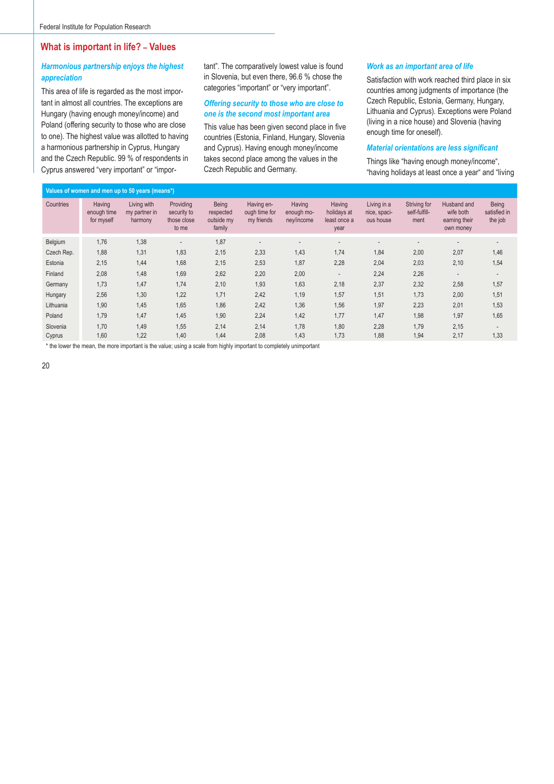# **What is important in life? – Values**

# *Harmonious partnership enjoys the highest appreciation*

This area of life is regarded as the most important in almost all countries. The exceptions are Hungary (having enough money/income) and Poland (offering security to those who are close to one). The highest value was allotted to having a harmonious partnership in Cyprus, Hungary and the Czech Republic. 99 % of respondents in Cyprus answered "very important" or "important". The comparatively lowest value is found in Slovenia, but even there, 96.6 % chose the categories "important" or "very important".

#### *Offering security to those who are close to one is the second most important area*

This value has been given second place in five countries (Estonia, Finland, Hungary, Slovenia and Cyprus). Having enough money/income takes second place among the values in the Czech Republic and Germany.

#### *Work as an important area of life*

Satisfaction with work reached third place in six countries among judgments of importance (the Czech Republic, Estonia, Germany, Hungary, Lithuania and Cyprus). Exceptions were Poland (living in a nice house) and Slovenia (having enough time for oneself).

#### **Material orientations are less significant**

Things like "having enough money/income", "having holidays at least once a year" and "living

|            | Values of women and men up to 50 years (means*) |                                         |                                                  |                                            |                                           |                                    |                                               |                                          |                                       |                                                        |                                  |  |  |
|------------|-------------------------------------------------|-----------------------------------------|--------------------------------------------------|--------------------------------------------|-------------------------------------------|------------------------------------|-----------------------------------------------|------------------------------------------|---------------------------------------|--------------------------------------------------------|----------------------------------|--|--|
| Countries  | Having<br>enough time<br>for myself             | Living with<br>my partner in<br>harmony | Providing<br>security to<br>those close<br>to me | Being<br>respected<br>outside my<br>family | Having en-<br>ough time for<br>my friends | Having<br>enough mo-<br>ney/income | Having<br>holidays at<br>least once a<br>year | Living in a<br>nice, spaci-<br>ous house | Striving for<br>self-fulfill-<br>ment | Husband and<br>wife both<br>earning their<br>own money | Being<br>satisfied in<br>the job |  |  |
| Belgium    | 1,76                                            | 1,38                                    |                                                  | 1,87                                       | $\qquad \qquad \blacksquare$              |                                    |                                               | $\overline{\phantom{a}}$                 |                                       |                                                        |                                  |  |  |
| Czech Rep. | 1,88                                            | 1.31                                    | 1,83                                             | 2,15                                       | 2,33                                      | 1,43                               | 1,74                                          | 1,84                                     | 2,00                                  | 2,07                                                   | 1,46                             |  |  |
| Estonia    | 2,15                                            | 1,44                                    | 1,68                                             | 2,15                                       | 2,53                                      | 1,87                               | 2,28                                          | 2,04                                     | 2,03                                  | 2,10                                                   | 1,54                             |  |  |
| Finland    | 2,08                                            | 1,48                                    | 1,69                                             | 2,62                                       | 2,20                                      | 2,00                               |                                               | 2,24                                     | 2,26                                  |                                                        |                                  |  |  |
| Germany    | 1,73                                            | 1,47                                    | 1,74                                             | 2,10                                       | 1,93                                      | 1,63                               | 2,18                                          | 2,37                                     | 2,32                                  | 2,58                                                   | 1,57                             |  |  |
| Hungary    | 2,56                                            | 1,30                                    | 1,22                                             | 1,71                                       | 2,42                                      | 1,19                               | 1,57                                          | 1,51                                     | 1,73                                  | 2,00                                                   | 1,51                             |  |  |
| Lithuania  | 1,90                                            | 1,45                                    | 1,65                                             | 1,86                                       | 2,42                                      | 1,36                               | 1,56                                          | 1,97                                     | 2,23                                  | 2,01                                                   | 1,53                             |  |  |
| Poland     | 1,79                                            | 1,47                                    | 1,45                                             | 1,90                                       | 2,24                                      | 1,42                               | 1,77                                          | 1,47                                     | 1,98                                  | 1,97                                                   | 1,65                             |  |  |
| Slovenia   | 1,70                                            | 1,49                                    | 1,55                                             | 2,14                                       | 2,14                                      | 1,78                               | 1,80                                          | 2,28                                     | 1,79                                  | 2,15                                                   | $\overline{\phantom{a}}$         |  |  |
| Cyprus     | 1,60                                            | 1,22                                    | 1,40                                             | 1,44                                       | 2,08                                      | 1,43                               | 1.73                                          | 1,88                                     | 1,94                                  | 2,17                                                   | 1,33                             |  |  |

\* the lower the mean, the more important is the value; using a scale from highly important to completely unimportant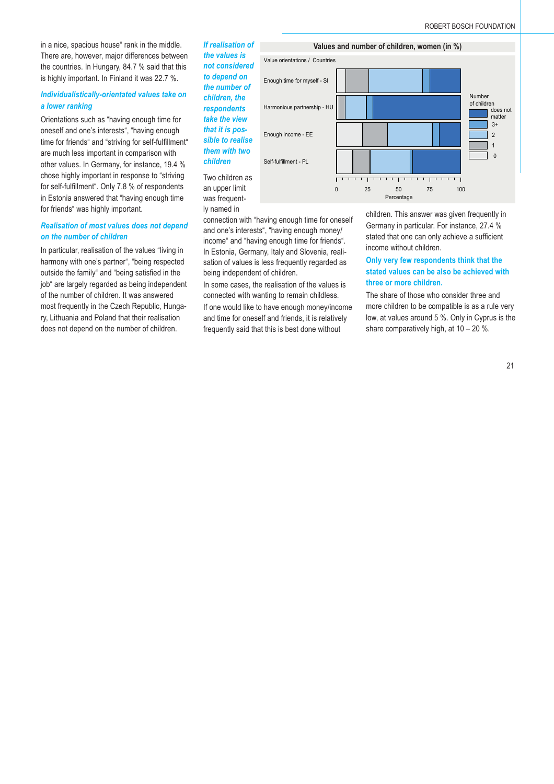in a nice, spacious house" rank in the middle. There are, however, major differences between the countries. In Hungary, 84.7 % said that this is highly important. In Finland it was 22.7 %.

#### *Individualistically-orientated values take on a lower ranking*

Orientations such as "having enough time for oneself and one's interests", "having enough time for friends" and "striving for self-fulfillment" are much less important in comparison with other values. In Germany, for instance, 19.4 % chose highly important in response to "striving for self-fulfillment". Only 7.8 % of respondents in Estonia answered that "having enough time for friends" was highly important.

#### *Realisation of most values does not depend on the number of children*

In particular, realisation of the values "living in harmony with one's partner", "being respected outside the family" and "being satisfied in the job" are largely regarded as being independent of the number of children. It was answered most frequently in the Czech Republic, Hungary, Lithuania and Poland that their realisation does not depend on the number of children.

*If realisation of the values is not considered to depend on the number of children, the respondents take the view that it is possible to realise them with two children* Two children as an upper limit was frequent-

ly named in



connection with "having enough time for oneself and one's interests", "having enough money/ income" and "having enough time for friends". In Estonia, Germany, Italy and Slovenia, realisation of values is less frequently regarded as being independent of children.

In some cases, the realisation of the values is connected with wanting to remain childless.

If one would like to have enough money/income and time for oneself and friends, it is relatively frequently said that this is best done without

children. This answer was given frequently in Germany in particular. For instance, 27.4 % stated that one can only achieve a sufficient income without children.

# **Only very few respondents think that the stated values can be also be achieved with three or more children.**

The share of those who consider three and more children to be compatible is as a rule very low, at values around 5 %. Only in Cyprus is the share comparatively high, at 10 – 20 %.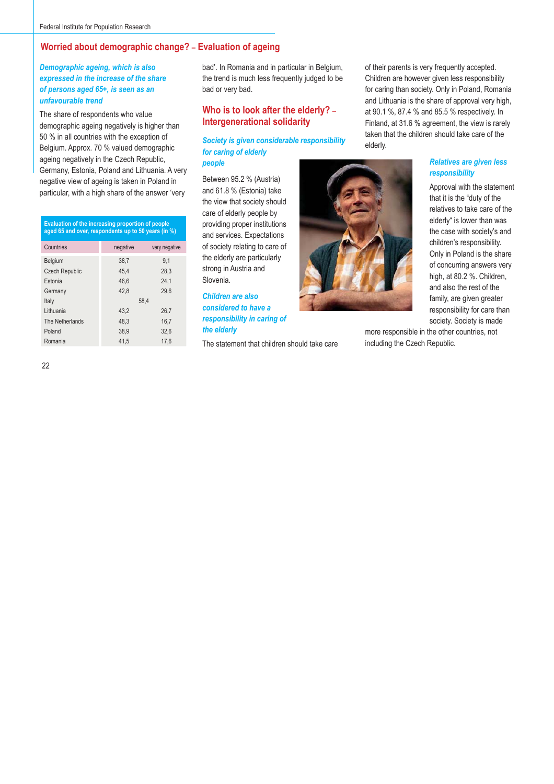# **Worried about demographic change? – Evaluation of ageing**

# *Demographic ageing, which is also expressed in the increase of the share of persons aged 65+, is seen as an unfavourable trend*

The share of respondents who value demographic ageing negatively is higher than 50 % in all countries with the exception of Belgium. Approx. 70 % valued demographic ageing negatively in the Czech Republic, Germany, Estonia, Poland and Lithuania. A very negative view of ageing is taken in Poland in particular, with a high share of the answer 'very

| Evaluation of the increasing proportion of people<br>aged 65 and over, respondents up to 50 years (in %) |               |  |  |  |  |  |  |  |  |
|----------------------------------------------------------------------------------------------------------|---------------|--|--|--|--|--|--|--|--|
| negative                                                                                                 | very negative |  |  |  |  |  |  |  |  |
| 38.7                                                                                                     | 9.1           |  |  |  |  |  |  |  |  |
| 45.4                                                                                                     | 28,3          |  |  |  |  |  |  |  |  |
| 46.6                                                                                                     | 24.1          |  |  |  |  |  |  |  |  |
| 42.8                                                                                                     | 29.6          |  |  |  |  |  |  |  |  |
| 58.4                                                                                                     |               |  |  |  |  |  |  |  |  |
| 43.2                                                                                                     | 26,7          |  |  |  |  |  |  |  |  |
| 48.3                                                                                                     | 16,7          |  |  |  |  |  |  |  |  |
| 38.9                                                                                                     | 32.6          |  |  |  |  |  |  |  |  |
| 41.5                                                                                                     | 17.6          |  |  |  |  |  |  |  |  |
|                                                                                                          |               |  |  |  |  |  |  |  |  |

bad'. In Romania and in particular in Belgium, the trend is much less frequently judged to be bad or very bad.

# **Who is to look after the elderly? – Intergenerational solidarity**

# *Society is given considerable responsibility for caring of elderly people*

Between 95.2 % (Austria) and 61.8 % (Estonia) take the view that society should care of elderly people by providing proper institutions and services. Expectations of society relating to care of the elderly are particularly strong in Austria and Slovenia.

*Children are also considered to have a responsibility in caring of the elderly*

The statement that children should take care

of their parents is very frequently accepted. Children are however given less responsibility for caring than society. Only in Poland, Romania and Lithuania is the share of approval very high, at 90.1 %, 87.4 % and 85.5 % respectively. In Finland, at 31.6 % agreement, the view is rarely taken that the children should take care of the elderly.

#### *Relatives are given less responsibility*

Approval with the statement that it is the "duty of the relatives to take care of the elderly" is lower than was the case with society's and children's responsibility. Only in Poland is the share of concurring answers very high, at 80.2 %. Children, and also the rest of the family, are given greater responsibility for care than society. Society is made

more responsible in the other countries, not including the Czech Republic.

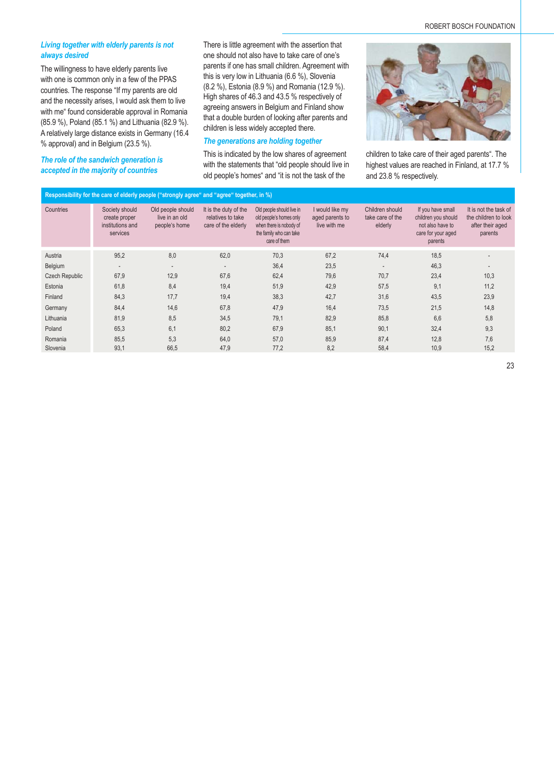#### *Living together with elderly parents is not always desired*

The willingness to have elderly parents live with one is common only in a few of the PPAS countries. The response "If my parents are old and the necessity arises, I would ask them to live with me" found considerable approval in Romania (85.9 %), Poland (85.1 %) and Lithuania (82.9 %). A relatively large distance exists in Germany (16.4 % approval) and in Belgium (23.5 %).

*The role of the sandwich generation is accepted in the majority of countries*

There is little agreement with the assertion that one should not also have to take care of one's parents if one has small children. Agreement with this is very low in Lithuania (6.6 %), Slovenia (8.2 %), Estonia (8.9 %) and Romania (12.9 %). High shares of 46.3 and 43.5 % respectively of agreeing answers in Belgium and Finland show that a double burden of looking after parents and children is less widely accepted there.

### *The generations are holding together*

This is indicated by the low shares of agreement with the statements that "old people should live in old people's homes" and "it is not the task of the





children to take care of their aged parents". The highest values are reached in Finland, at 17.7 % and 23.8 % respectively.

| Responsibility for the care of elderly people ("strongly agree" and "agree" together, in %) |                                                                 |                                                      |                                                                   |                                                                                                                            |                                                    |                                                |                                                                                               |                                                                              |  |  |  |  |
|---------------------------------------------------------------------------------------------|-----------------------------------------------------------------|------------------------------------------------------|-------------------------------------------------------------------|----------------------------------------------------------------------------------------------------------------------------|----------------------------------------------------|------------------------------------------------|-----------------------------------------------------------------------------------------------|------------------------------------------------------------------------------|--|--|--|--|
| Countries                                                                                   | Society should<br>create proper<br>institutions and<br>services | Old people should<br>live in an old<br>people's home | It is the duty of the<br>relatives to take<br>care of the elderly | Old people should live in<br>old people's homes only<br>when there is nobody of<br>the family who can take<br>care of them | I would like my<br>aged parents to<br>live with me | Children should<br>take care of the<br>elderly | If you have small<br>children you should<br>not also have to<br>care for your aged<br>parents | It is not the task of<br>the children to look<br>after their aged<br>parents |  |  |  |  |
| Austria                                                                                     | 95,2                                                            | 8,0                                                  | 62,0                                                              | 70,3                                                                                                                       | 67,2                                               | 74,4                                           | 18,5                                                                                          |                                                                              |  |  |  |  |
| Belgium                                                                                     |                                                                 | $\overline{\phantom{a}}$                             | $\overline{\phantom{a}}$                                          | 36,4                                                                                                                       | 23,5                                               | $\overline{\phantom{a}}$                       | 46,3                                                                                          |                                                                              |  |  |  |  |
| <b>Czech Republic</b>                                                                       | 67,9                                                            | 12,9                                                 | 67,6                                                              | 62,4                                                                                                                       | 79,6                                               | 70,7                                           | 23,4                                                                                          | 10,3                                                                         |  |  |  |  |
| Estonia                                                                                     | 61,8                                                            | 8,4                                                  | 19,4                                                              | 51,9                                                                                                                       | 42,9                                               | 57,5                                           | 9,1                                                                                           | 11,2                                                                         |  |  |  |  |
| Finland                                                                                     | 84,3                                                            | 17,7                                                 | 19,4                                                              | 38,3                                                                                                                       | 42,7                                               | 31,6                                           | 43,5                                                                                          | 23,9                                                                         |  |  |  |  |
| Germany                                                                                     | 84,4                                                            | 14,6                                                 | 67,8                                                              | 47,9                                                                                                                       | 16,4                                               | 73,5                                           | 21,5                                                                                          | 14,8                                                                         |  |  |  |  |
| Lithuania                                                                                   | 81,9                                                            | 8,5                                                  | 34,5                                                              | 79,1                                                                                                                       | 82,9                                               | 85,8                                           | 6.6                                                                                           | 5,8                                                                          |  |  |  |  |
| Poland                                                                                      | 65,3                                                            | 6,1                                                  | 80,2                                                              | 67,9                                                                                                                       | 85,1                                               | 90,1                                           | 32,4                                                                                          | 9,3                                                                          |  |  |  |  |
| Romania                                                                                     | 85,5                                                            | 5,3                                                  | 64,0                                                              | 57,0                                                                                                                       | 85,9                                               | 87,4                                           | 12,8                                                                                          | 7,6                                                                          |  |  |  |  |
| Slovenia                                                                                    | 93,1                                                            | 66,5                                                 | 47,9                                                              | 77,2                                                                                                                       | 8,2                                                | 58,4                                           | 10,9                                                                                          | 15,2                                                                         |  |  |  |  |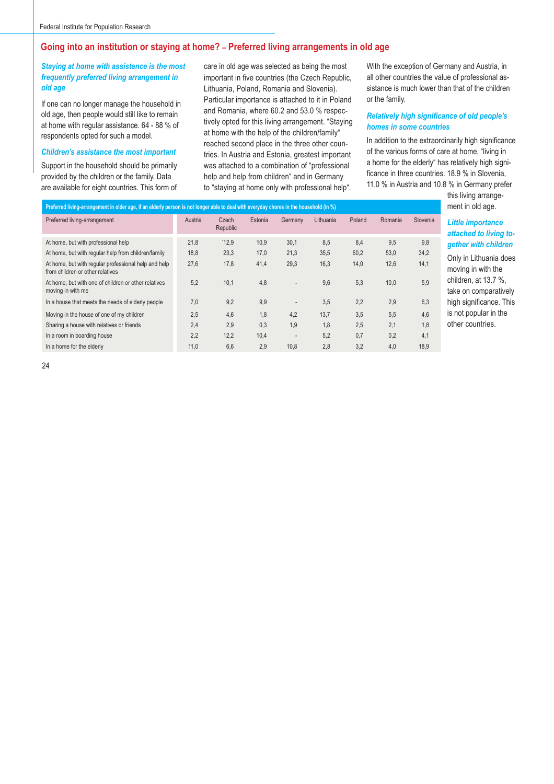# **Going into an institution or staying at home? – Preferred living arrangements in old age**

# *Staying at home with assistance is the most frequently preferred living arrangement in old age*

If one can no longer manage the household in old age, then people would still like to remain at home with regular assistance. 64 - 88 % of respondents opted for such a model.

#### *Children's assistance the most important*

Support in the household should be primarily provided by the children or the family. Data are available for eight countries. This form of care in old age was selected as being the most important in five countries (the Czech Republic, Lithuania, Poland, Romania and Slovenia). Particular importance is attached to it in Poland and Romania, where 60.2 and 53.0 % respectively opted for this living arrangement. "Staying at home with the help of the children/family" reached second place in the three other countries. In Austria and Estonia, greatest important was attached to a combination of "professional help and help from children" and in Germany to "staying at home only with professional help".

With the exception of Germany and Austria, in all other countries the value of professional assistance is much lower than that of the children or the family.

#### **Relatively high significance of old people's** *homes in some countries*

In addition to the extraordinarily high significance of the various forms of care at home, "living in a home for the elderly" has relatively high significance in three countries. 18.9 % in Slovenia, 11.0 % in Austria and 10.8 % in Germany prefer

> this living arrangement in old age.

# *Little importance attached to living together with children*

Only in Lithuania does moving in with the children, at 13.7 %, take on comparatively high significance. This is not popular in the other countries.

| Preferred living-arrangement in older age, if an elderly person is not longer able to deal with everyday chores in the household (in %) |                   |         |         |           |        |         |          |  |  |  |  |  |  |
|-----------------------------------------------------------------------------------------------------------------------------------------|-------------------|---------|---------|-----------|--------|---------|----------|--|--|--|--|--|--|
| Austria                                                                                                                                 | Czech<br>Republic | Estonia | Germany | Lithuania | Poland | Romania | Slovenia |  |  |  |  |  |  |
| 21.8                                                                                                                                    | 12.9              | 10.9    | 30,1    | 8.5       | 8.4    | 9.5     | 9.8      |  |  |  |  |  |  |
| 18.8                                                                                                                                    | 23,3              | 17,0    | 21,3    | 35,5      | 60,2   | 53.0    | 34,2     |  |  |  |  |  |  |
| 27,6                                                                                                                                    | 17,8              | 41,4    | 29,3    | 16,3      | 14.0   | 12.6    | 14.1     |  |  |  |  |  |  |
| 5.2                                                                                                                                     | 10,1              | 4,8     | ٠       | 9,6       | 5,3    | 10,0    | 5,9      |  |  |  |  |  |  |
| 7.0                                                                                                                                     | 9.2               | 9,9     | ٠       | 3,5       | 2,2    | 2,9     | 6,3      |  |  |  |  |  |  |
| 2.5                                                                                                                                     | 4,6               | 1.8     | 4,2     | 13.7      | 3,5    | 5.5     | 4,6      |  |  |  |  |  |  |
| 2.4                                                                                                                                     | 2.9               | 0.3     | 1.9     | 1.8       | 2,5    | 2.1     | 1.8      |  |  |  |  |  |  |
| 2.2                                                                                                                                     | 12,2              | 10,4    | ٠       | 5.2       | 0.7    | 0.2     | 4.1      |  |  |  |  |  |  |
| 11,0                                                                                                                                    | 6,6               | 2,9     | 10,8    | 2.8       | 3.2    | 4.0     | 18.9     |  |  |  |  |  |  |
|                                                                                                                                         |                   |         |         |           |        |         |          |  |  |  |  |  |  |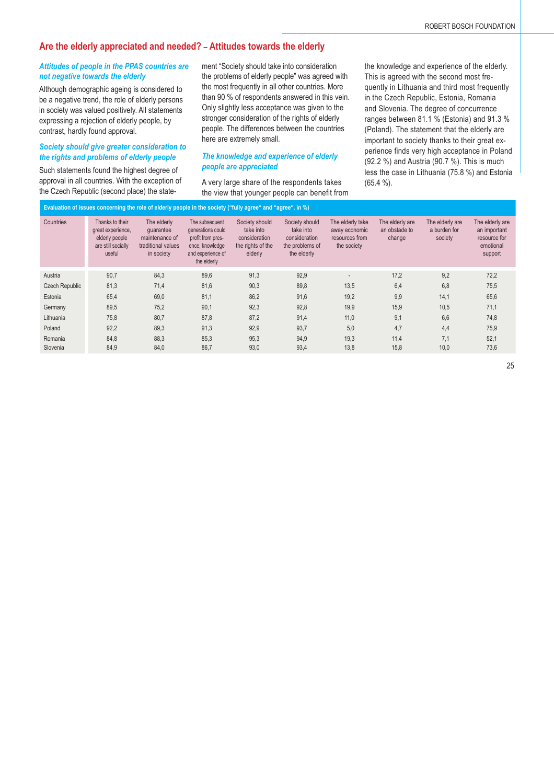# **Are the elderly appreciated and needed? – Attitudes towards the elderly**

#### *Attitudes of people in the PPAS countries are not negative towards the elderly*

Although demographic ageing is considered to be a negative trend, the role of elderly persons in society was valued positively. All statements expressing a rejection of elderly people, by contrast, hardly found approval.

# *Society should give greater consideration to the rights and problems of elderly people*

Such statements found the highest degree of approval in all countries. With the exception of the Czech Republic (second place) the statement "Society should take into consideration the problems of elderly people" was agreed with the most frequently in all other countries. More than 90 % of respondents answered in this vein. Only slightly less acceptance was given to the stronger consideration of the rights of elderly people. The differences between the countries here are extremely small.

#### *The knowledge and experience of elderly people are appreciated*

A very large share of the respondents takes the view that younger people can benefit from the knowledge and experience of the elderly. This is agreed with the second most frequently in Lithuania and third most frequently in the Czech Republic, Estonia, Romania and Slovenia. The degree of concurrence ranges between 81.1 % (Estonia) and 91.3 % (Poland). The statement that the elderly are important to society thanks to their great experience finds very high acceptance in Poland (92.2 %) and Austria (90.7 %). This is much less the case in Lithuania (75.8 %) and Estonia (65.4 %).

| Evaluation of issues concerning the role of elderly people in the society ("fully agree" and "agree", in %) |                                                                                        |                                                                                |                                                                                                                 |                                                                              |                                                                                |                                                                    |                                            |                                            |                                                                         |  |  |  |
|-------------------------------------------------------------------------------------------------------------|----------------------------------------------------------------------------------------|--------------------------------------------------------------------------------|-----------------------------------------------------------------------------------------------------------------|------------------------------------------------------------------------------|--------------------------------------------------------------------------------|--------------------------------------------------------------------|--------------------------------------------|--------------------------------------------|-------------------------------------------------------------------------|--|--|--|
| Countries                                                                                                   | Thanks to their<br>great experience,<br>elderly people<br>are still socially<br>useful | The elderly<br>quarantee<br>maintenance of<br>traditional values<br>in society | The subsequent<br>generations could<br>profit from pres-<br>ence, knowledge<br>and experience of<br>the elderly | Society should<br>take into<br>consideration<br>the rights of the<br>elderly | Society should<br>take into<br>consideration<br>the problems of<br>the elderly | The elderly take<br>away economic<br>resources from<br>the society | The elderly are<br>an obstade to<br>change | The elderly are<br>a burden for<br>society | The elderly are<br>an important<br>resource for<br>emotional<br>support |  |  |  |
| Austria                                                                                                     | 90,7                                                                                   | 84.3                                                                           | 89,6                                                                                                            | 91,3                                                                         | 92,9                                                                           | $\sim$                                                             | 17,2                                       | 9,2                                        | 72,2                                                                    |  |  |  |
| <b>Czech Republic</b>                                                                                       | 81,3                                                                                   | 71,4                                                                           | 81,6                                                                                                            | 90,3                                                                         | 89,8                                                                           | 13,5                                                               | 6,4                                        | 6,8                                        | 75,5                                                                    |  |  |  |
| Estonia                                                                                                     | 65,4                                                                                   | 69,0                                                                           | 81,1                                                                                                            | 86,2                                                                         | 91,6                                                                           | 19.2                                                               | 9.9                                        | 14.1                                       | 65,6                                                                    |  |  |  |
| Germany                                                                                                     | 89,5                                                                                   | 75,2                                                                           | 90,1                                                                                                            | 92,3                                                                         | 92,8                                                                           | 19,9                                                               | 15,9                                       | 10,5                                       | 71,1                                                                    |  |  |  |
| Lithuania                                                                                                   | 75,8                                                                                   | 80,7                                                                           | 87,8                                                                                                            | 87,2                                                                         | 91,4                                                                           | 11,0                                                               | 9,1                                        | 6,6                                        | 74,8                                                                    |  |  |  |
| Poland                                                                                                      | 92,2                                                                                   | 89,3                                                                           | 91,3                                                                                                            | 92,9                                                                         | 93,7                                                                           | 5,0                                                                | 4,7                                        | 4,4                                        | 75,9                                                                    |  |  |  |
| Romania                                                                                                     | 84.8                                                                                   | 88,3                                                                           | 85,3                                                                                                            | 95,3                                                                         | 94,9                                                                           | 19,3                                                               | 11.4                                       | 7,1                                        | 52,1                                                                    |  |  |  |
| Slovenia                                                                                                    | 84.9                                                                                   | 84.0                                                                           | 86.7                                                                                                            | 93.0                                                                         | 93,4                                                                           | 13.8                                                               | 15,8                                       | 10,0                                       | 73,6                                                                    |  |  |  |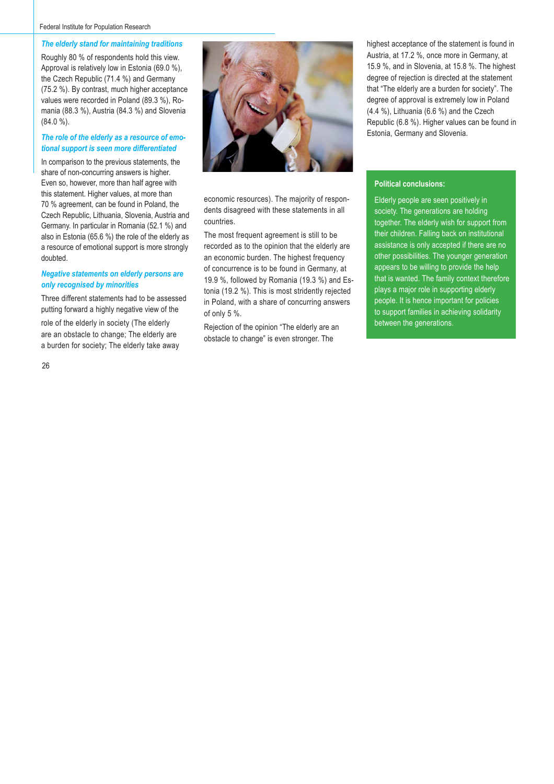#### Federal Institute for Population Research

#### *The elderly stand for maintaining traditions*

Roughly 80 % of respondents hold this view. Approval is relatively low in Estonia (69.0 %), the Czech Republic (71.4 %) and Germany (75.2 %). By contrast, much higher acceptance values were recorded in Poland (89.3 %), Romania (88.3 %), Austria (84.3 %) and Slovenia (84.0 %).

# *The role of the elderly as a resource of emotional support is seen more differentiated*

In comparison to the previous statements, the share of non-concurring answers is higher. Even so, however, more than half agree with this statement. Higher values, at more than 70 % agreement, can be found in Poland, the Czech Republic, Lithuania, Slovenia, Austria and Germany. In particular in Romania (52.1 %) and also in Estonia (65.6 %) the role of the elderly as a resource of emotional support is more strongly doubted.

#### *Negative statements on elderly persons are only recognised by minorities*

Three different statements had to be assessed putting forward a highly negative view of the

role of the elderly in society (The elderly are an obstacle to change; The elderly are a burden for society; The elderly take away



economic resources). The majority of respondents disagreed with these statements in all countries.

The most frequent agreement is still to be recorded as to the opinion that the elderly are an economic burden. The highest frequency of concurrence is to be found in Germany, at 19.9 %, followed by Romania (19.3 %) and Estonia (19.2 %). This is most stridently rejected in Poland, with a share of concurring answers of only 5 %.

Rejection of the opinion "The elderly are an obstacle to change" is even stronger. The

highest acceptance of the statement is found in Austria, at 17.2 %, once more in Germany, at 15.9 %, and in Slovenia, at 15.8 %. The highest degree of rejection is directed at the statement that "The elderly are a burden for society". The degree of approval is extremely low in Poland (4.4 %), Lithuania (6.6 %) and the Czech Republic (6.8 %). Higher values can be found in Estonia, Germany and Slovenia.

#### **Political conclusions:**

Elderly people are seen positively in society. The generations are holding together. The elderly wish for support from their children. Falling back on institutional assistance is only accepted if there are no other possibilities. The younger generation appears to be willing to provide the help that is wanted. The family context therefore plays a major role in supporting elderly people. It is hence important for policies to support families in achieving solidarity between the generations.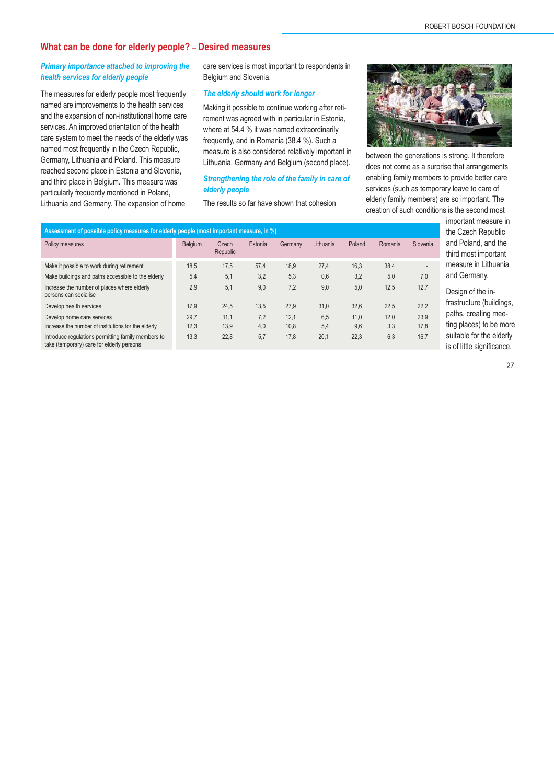# **What can be done for elderly people? – Desired measures**

# *Primary importance attached to improving the health services for elderly people*

The measures for elderly people most frequently named are improvements to the health services and the expansion of non-institutional home care services. An improved orientation of the health care system to meet the needs of the elderly was named most frequently in the Czech Republic, Germany, Lithuania and Poland. This measure reached second place in Estonia and Slovenia, and third place in Belgium. This measure was particularly frequently mentioned in Poland, Lithuania and Germany. The expansion of home

care services is most important to respondents in Belgium and Slovenia.

#### *The elderly should work for longer*

Making it possible to continue working after retirement was agreed with in particular in Estonia, where at 54.4 % it was named extraordinarily frequently, and in Romania (38.4 %). Such a measure is also considered relatively important in Lithuania, Germany and Belgium (second place).

#### *Strengthening the role of the family in care of elderly people*

The results so far have shown that cohesion



between the generations is strong. It therefore does not come as a surprise that arrangements enabling family members to provide better care services (such as temporary leave to care of elderly family members) are so important. The creation of such conditions is the second most

| Assessment of possible policy measures for elderly people (most important measure, in %)        |         |                   |         |         |           |        |         |          |  |  |  |  |
|-------------------------------------------------------------------------------------------------|---------|-------------------|---------|---------|-----------|--------|---------|----------|--|--|--|--|
| Policy measures                                                                                 | Belgium | Czech<br>Republic | Estonia | Germany | Lithuania | Poland | Romania | Slovenia |  |  |  |  |
| Make it possible to work during retirement                                                      | 18.5    | 17,5              | 57,4    | 18,9    | 27,4      | 16,3   | 38,4    |          |  |  |  |  |
| Make buildings and paths accessible to the elderly                                              | 5,4     | 5,1               | 3,2     | 5,3     | 0,6       | 3,2    | 5,0     | 7,0      |  |  |  |  |
| Increase the number of places where elderly<br>persons can socialise                            | 2,9     | 5,1               | 9,0     | 7,2     | 9,0       | 5,0    | 12,5    | 12,7     |  |  |  |  |
| Develop health services                                                                         | 17,9    | 24,5              | 13,5    | 27,9    | 31,0      | 32.6   | 22,5    | 22,2     |  |  |  |  |
| Develop home care services                                                                      | 29.7    | 11,1              | 7,2     | 12,1    | 6,5       | 11,0   | 12,0    | 23,9     |  |  |  |  |
| Increase the number of institutions for the elderly                                             | 12,3    | 13,9              | 4,0     | 10,8    | 5,4       | 9.6    | 3.3     | 17.8     |  |  |  |  |
| Introduce regulations permitting family members to<br>take (temporary) care for elderly persons | 13,3    | 22,8              | 5,7     | 17,8    | 20,1      | 22,3   | 6,3     | 16,7     |  |  |  |  |

important measure in the Czech Republic and Poland, and the third most important measure in Lithuania and Germany.

Design of the infrastructure (buildings, paths, creating meeting places) to be more suitable for the elderly is of little significance.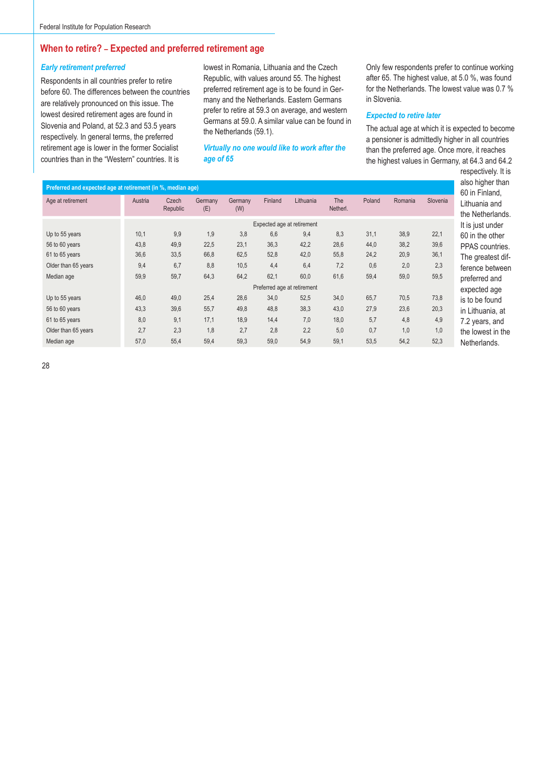# **When to retire? – Expected and preferred retirement age**

#### *Early retirement preferred*

Respondents in all countries prefer to retire before 60. The differences between the countries are relatively pronounced on this issue. The lowest desired retirement ages are found in Slovenia and Poland, at 52.3 and 53.5 years respectively. In general terms, the preferred retirement age is lower in the former Socialist countries than in the "Western" countries. It is

lowest in Romania, Lithuania and the Czech Republic, with values around 55. The highest preferred retirement age is to be found in Germany and the Netherlands. Eastern Germans prefer to retire at 59.3 on average, and western Germans at 59.0. A similar value can be found in the Netherlands (59.1).

*Virtually no one would like to work after the age of 65*

Only few respondents prefer to continue working after 65. The highest value, at 5.0 %, was found for the Netherlands. The lowest value was 0.7 % in Slovenia.

#### *Expected to retire later*

The actual age at which it is expected to become a pensioner is admittedly higher in all countries than the preferred age. Once more, it reaches the highest values in Germany, at 64.3 and 64.2

| Preferred and expected age at retirement (in %, median age) |         |                   |                |                       |         |                             |                 |        |         |          | also higher than<br>60 in Finland. |
|-------------------------------------------------------------|---------|-------------------|----------------|-----------------------|---------|-----------------------------|-----------------|--------|---------|----------|------------------------------------|
| Age at retirement                                           | Austria | Czech<br>Republic | Germany<br>(E) | <b>Germany</b><br>(W) | Finland | Lithuania                   | The<br>Netherl. | Poland | Romania | Slovenia | Lithuania and<br>the Netherlands.  |
|                                                             |         |                   |                |                       |         | Expected age at retirement  |                 |        |         |          | It is just under                   |
| Up to 55 years                                              | 10,1    | 9,9               | 1,9            | 3,8                   | 6,6     | 9,4                         | 8,3             | 31,1   | 38,9    | 22,1     | 60 in the other                    |
| 56 to 60 years                                              | 43,8    | 49,9              | 22,5           | 23,1                  | 36,3    | 42,2                        | 28,6            | 44,0   | 38,2    | 39,6     | PPAS countries.                    |
| 61 to 65 years                                              | 36,6    | 33,5              | 66,8           | 62,5                  | 52,8    | 42,0                        | 55,8            | 24,2   | 20,9    | 36,1     | The greatest dif-                  |
| Older than 65 years                                         | 9,4     | 6,7               | 8,8            | 10,5                  | 4,4     | 6,4                         | 7,2             | 0,6    | 2,0     | 2,3      | ference between                    |
| Median age                                                  | 59,9    | 59,7              | 64,3           | 64,2                  | 62,1    | 60,0                        | 61,6            | 59,4   | 59,0    | 59,5     | preferred and                      |
|                                                             |         |                   |                |                       |         | Preferred age at retirement |                 |        |         |          | expected age                       |
| Up to 55 years                                              | 46,0    | 49,0              | 25,4           | 28,6                  | 34,0    | 52,5                        | 34,0            | 65,7   | 70,5    | 73,8     | is to be found                     |
| 56 to 60 years                                              | 43,3    | 39,6              | 55,7           | 49,8                  | 48,8    | 38,3                        | 43,0            | 27,9   | 23,6    | 20,3     | in Lithuania, at                   |
| 61 to 65 years                                              | 8,0     | 9,1               | 17,1           | 18,9                  | 14,4    | 7,0                         | 18,0            | 5,7    | 4,8     | 4,9      | 7.2 years, and                     |
| Older than 65 years                                         | 2,7     | 2,3               | 1,8            | 2,7                   | 2,8     | 2,2                         | 5,0             | 0.7    | 1,0     | 1,0      | the lowest in the                  |
| Median age                                                  | 57,0    | 55,4              | 59,4           | 59,3                  | 59,0    | 54,9                        | 59,1            | 53.5   | 54,2    | 52.3     | Netherlands.                       |

n Finland. uania and Netherlands. iust under n the other S countries. greatest difnce between erred and ected age be found thuania, at years, and owest in the nerlands.

respectively. It is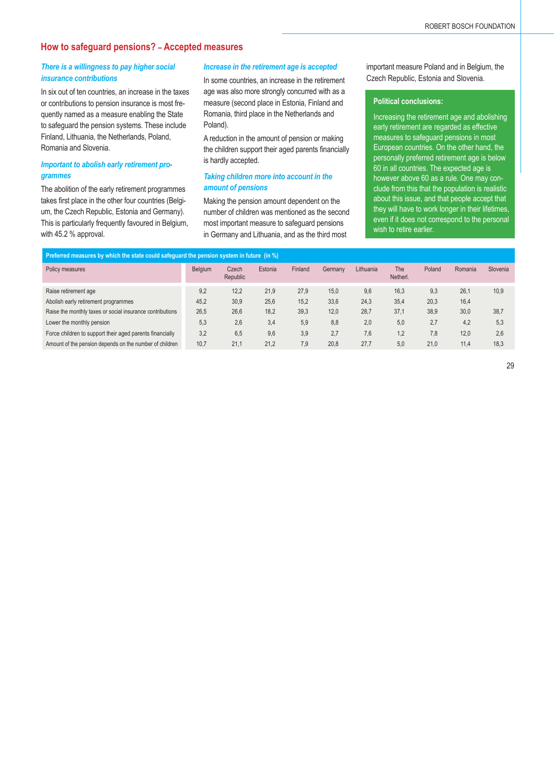# **How to safeguard pensions? – Accepted measures**

# *There is a willingness to pay higher social insurance contributions*

In six out of ten countries, an increase in the taxes or contributions to pension insurance is most frequently named as a measure enabling the State to safeguard the pension systems. These include Finland, Lithuania, the Netherlands, Poland, Romania and Slovenia.

#### *Important to abolish early retirement programmes*

The abolition of the early retirement programmes takes first place in the other four countries (Belgium, the Czech Republic, Estonia and Germany). This is particularly frequently favoured in Belgium, with 45.2 % approval.

#### *Increase in the retirement age is accepted*

In some countries, an increase in the retirement age was also more strongly concurred with as a measure (second place in Estonia, Finland and Romania, third place in the Netherlands and Poland).

A reduction in the amount of pension or making the children support their aged parents financially is hardly accepted.

#### *Taking children more into account in the amount of pensions*

Making the pension amount dependent on the number of children was mentioned as the second most important measure to safeguard pensions in Germany and Lithuania, and as the third most

important measure Poland and in Belgium, the Czech Republic, Estonia and Slovenia.

#### **Political conclusions:**

Increasing the retirement age and abolishing early retirement are regarded as effective measures to safeguard pensions in most European countries. On the other hand, the personally preferred retirement age is below 60 in all countries. The expected age is however above 60 as a rule. One may conclude from this that the population is realistic about this issue, and that people accept that they will have to work longer in their lifetimes, even if it does not correspond to the personal wish to retire earlier.

| Preferred measures by which the state could safeguard the pension system in future (in $\%$ ) |         |                   |         |         |         |           |                 |        |         |          |  |  |  |
|-----------------------------------------------------------------------------------------------|---------|-------------------|---------|---------|---------|-----------|-----------------|--------|---------|----------|--|--|--|
| Policy measures                                                                               | Belgium | Czech<br>Republic | Estonia | Finland | Germany | Lithuania | The<br>Netherl. | Poland | Romania | Slovenia |  |  |  |
| Raise retirement age                                                                          | 9.2     | 12.2              | 21,9    | 27.9    | 15.0    | 9,6       | 16.3            | 9.3    | 26.1    | 10.9     |  |  |  |
| Abolish early retirement programmes                                                           | 45.2    | 30.9              | 25.6    | 15.2    | 33.6    | 24,3      | 35.4            | 20.3   | 16,4    |          |  |  |  |
| Raise the monthly taxes or social insurance contributions                                     | 26,5    | 26.6              | 18,2    | 39,3    | 12.0    | 28,7      | 37.1            | 38.9   | 30,0    | 38,7     |  |  |  |
| Lower the monthly pension                                                                     | 5,3     | 2.6               | 3,4     | 5,9     | 8.8     | 2,0       | 5,0             | 2,7    | 4,2     | 5.3      |  |  |  |
| Force children to support their aged parents financially                                      | 3.2     | 6.5               | 9.6     | 3.9     | 2.7     | 7,6       | 1.2             | 7.8    | 12,0    | 2.6      |  |  |  |
| Amount of the pension depends on the number of children                                       | 10.7    | 21.1              | 21.2    | 7.9     | 20.8    | 27.7      | 5.0             | 21.0   | 11.4    | 18.3     |  |  |  |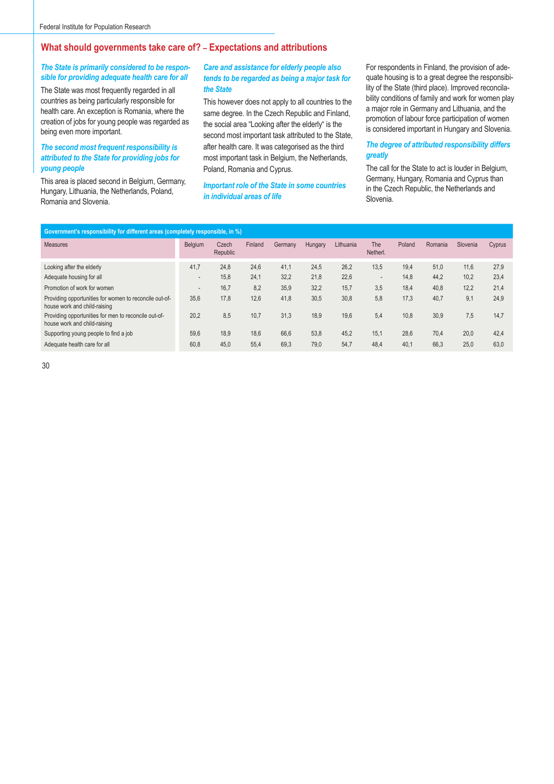# **What should governments take care of? – Expectations and attributions**

#### *The State is primarily considered to be responsible for providing adequate health care for all*

The State was most frequently regarded in all countries as being particularly responsible for health care. An exception is Romania, where the creation of jobs for young people was regarded as being even more important.

#### *The second most frequent responsibility is attributed to the State for providing jobs for young people*

This area is placed second in Belgium, Germany, Hungary, Lithuania, the Netherlands, Poland, Romania and Slovenia.

#### *Care and assistance for elderly people also tends to be regarded as being a major task for the State*

This however does not apply to all countries to the same degree. In the Czech Republic and Finland, the social area "Looking after the elderly" is the second most important task attributed to the State, after health care. It was categorised as the third most important task in Belgium, the Netherlands, Poland, Romania and Cyprus.

#### *Important role of the State in some countries in individual areas of life*

For respondents in Finland, the provision of adequate housing is to a great degree the responsibility of the State (third place). Improved reconcilability conditions of family and work for women play a major role in Germany and Lithuania, and the promotion of labour force participation of women is considered important in Hungary and Slovenia.

#### *The degree of attributed responsibility differs greatly*

The call for the State to act is louder in Belgium, Germany, Hungary, Romania and Cyprus than in the Czech Republic, the Netherlands and Slovenia.

| Government's responsibility for different areas (completely responsible, in %)         |         |                   |         |         |         |           |                        |        |         |          |        |  |
|----------------------------------------------------------------------------------------|---------|-------------------|---------|---------|---------|-----------|------------------------|--------|---------|----------|--------|--|
| <b>Measures</b>                                                                        | Belgium | Czech<br>Republic | Finland | Germany | Hungary | Lithuania | <b>The</b><br>Netherl. | Poland | Romania | Slovenia | Cyprus |  |
| Looking after the elderly                                                              | 41,7    | 24,8              | 24,6    | 41.1    | 24,5    | 26,2      | 13,5                   | 19,4   | 51,0    | 11,6     | 27.9   |  |
| Adequate housing for all                                                               |         | 15,8              | 24.1    | 32,2    | 21,8    | 22,6      | $\overline{a}$         | 14,8   | 44,2    | 10,2     | 23,4   |  |
| Promotion of work for women                                                            |         | 16.7              | 8,2     | 35,9    | 32,2    | 15.7      | 3,5                    | 18,4   | 40,8    | 12.2     | 21.4   |  |
| Providing opportunities for women to reconcile out-of-<br>house work and child-raising | 35.6    | 17.8              | 12,6    | 41,8    | 30,5    | 30,8      | 5.8                    | 17.3   | 40.7    | 9,1      | 24.9   |  |
| Providing opportunities for men to reconcile out-of-<br>house work and child-raising   | 20,2    | 8,5               | 10.7    | 31,3    | 18,9    | 19,6      | 5.4                    | 10.8   | 30,9    | 7,5      | 14,7   |  |
| Supporting young people to find a job                                                  | 59.6    | 18.9              | 18,6    | 66.6    | 53,8    | 45.2      | 15.1                   | 28.6   | 70.4    | 20.0     | 42.4   |  |
| Adequate health care for all                                                           | 60.8    | 45,0              | 55,4    | 69,3    | 79,0    | 54.7      | 48,4                   | 40.1   | 66,3    | 25,0     | 63,0   |  |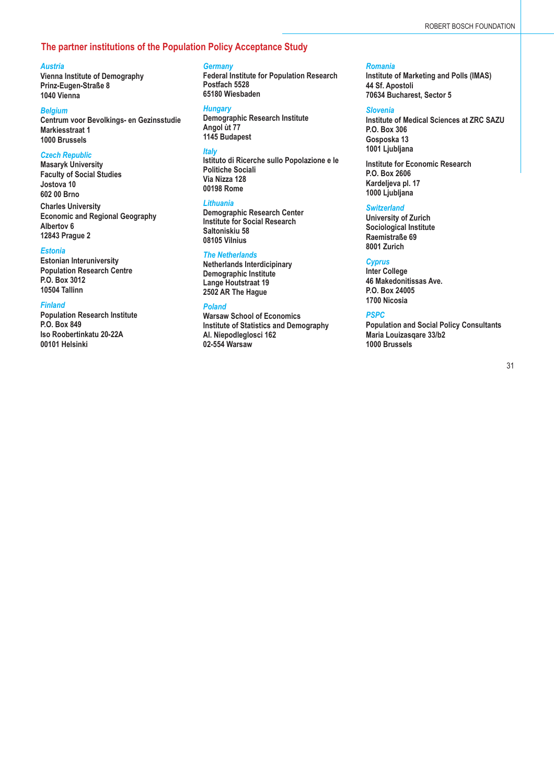# **The partner institutions of the Population Policy Acceptance Study**

#### *Austria*

**Vienna Institute of Demography Prinz-Eugen-Straße 8 1040 Vienna**

#### *Belgium*

**Centrum voor Bevolkings- en Gezinsstudie Markiesstraat 1 1000 Brussels**

#### *Czech Republic*

**Masaryk University Faculty of Social Studies Jostova 10 602 00 Brno**

**Charles University Economic and Regional Geography Albertov 6 12843 Prague 2**

#### *Estonia*

**Estonian Interuniversity Population Research Centre P.O. Box 3012 10504 Tallinn**

#### *Finland*

**Population Research Institute P.O. Box 849 Iso Roobertinkatu 20-22A 00101 Helsinki**

#### *Germany*

**Federal Institute for Population Research Postfach 5528 65180 Wiesbaden**

#### *Hungary*

**Demographic Research Institute Angol ùt 77 1145 Budapest**

#### *Italy*

**Istituto di Ricerche sullo Popolazione e le Politiche Sociali Via Nizza 128 00198 Rome**

#### *Lithuania*

**Demographic Research Center Institute for Social Research Saltoniskiu 58 08105 Vilnius**

#### *The Netherlands*

**Netherlands Interdicipinary Demographic Institute Lange Houtstraat 19 2502 AR The Hague**

#### *Poland*

**Warsaw School of Economics Institute of Statistics and Demography Al. Niepodleglosci 162 02-554 Warsaw**

#### *Romania*

**Institute of Marketing and Polls (IMAS) 44 Sf. Apostoli 70634 Bucharest, Sector 5** 

#### *Slovenia*

**Institute of Medical Sciences at ZRC SAZU P.O. Box 306 Gosposka 13 1001 Ljubljana**

**Institute for Economic Research P.O. Box 2606 Kardeljeva pl. 17 1000 Ljubljana**

#### *Switzerland*

**University of Zurich Sociological Institute Raemistraße 69 8001 Zurich**

#### *Cyprus*

**Inter College 46 Makedonitissas Ave. P.O. Box 24005 1700 Nicosia**

#### *PSPC*

**Population and Social Policy Consultants Maria Louizasqare 33/b2 1000 Brussels**